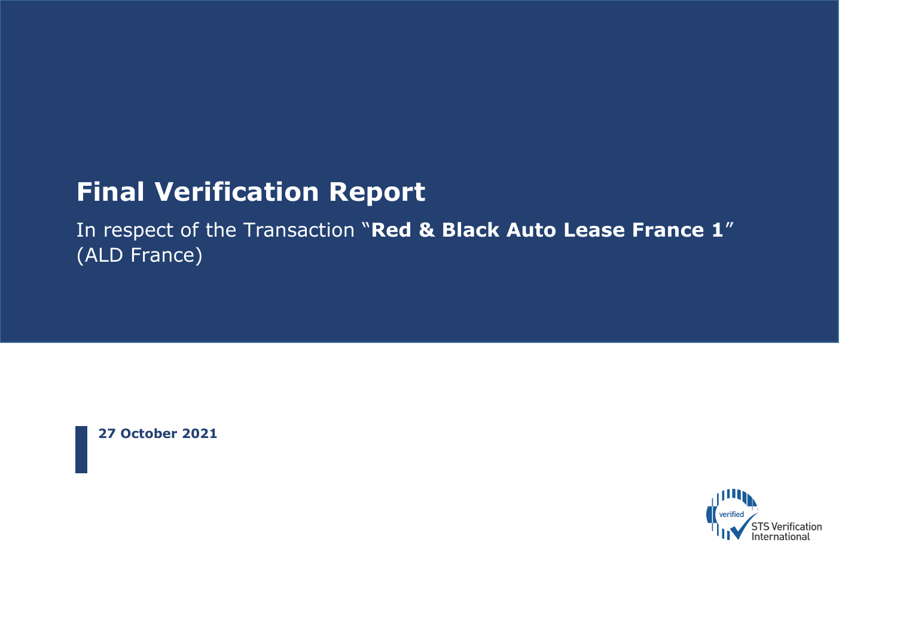# **Final Verification Report**

In respect of the Transaction "**Red & Black Auto Lease France 1**" (ALD France)

**27 October 2021**

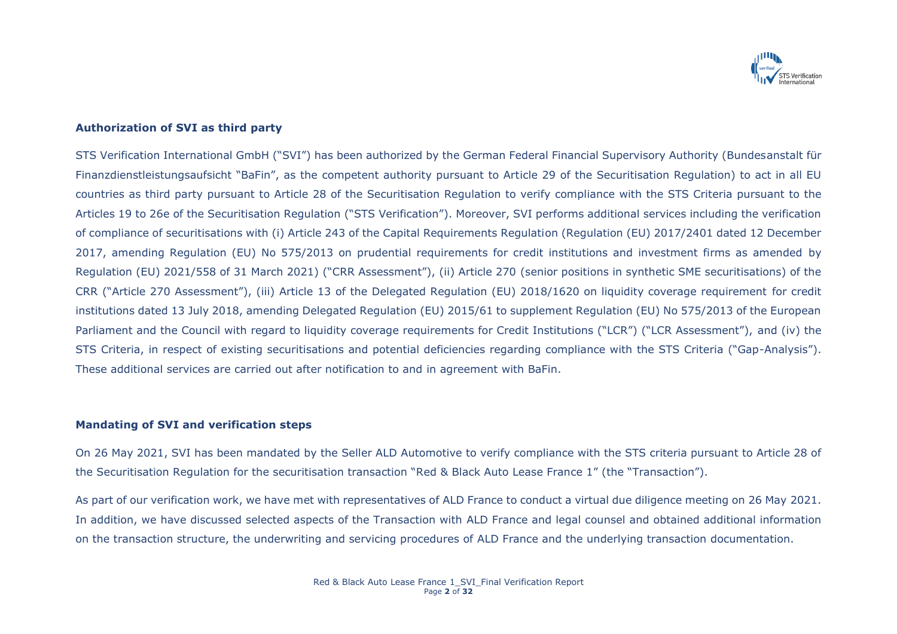

# **Authorization of SVI as third party**

STS Verification International GmbH ("SVI") has been authorized by the German Federal Financial Supervisory Authority (Bundesanstalt für Finanzdienstleistungsaufsicht "BaFin", as the competent authority pursuant to Article 29 of the Securitisation Regulation) to act in all EU countries as third party pursuant to Article 28 of the Securitisation Regulation to verify compliance with the STS Criteria pursuant to the Articles 19 to 26e of the Securitisation Regulation ("STS Verification"). Moreover, SVI performs additional services including the verification of compliance of securitisations with (i) Article 243 of the Capital Requirements Regulation (Regulation (EU) 2017/2401 dated 12 December 2017, amending Regulation (EU) No 575/2013 on prudential requirements for credit institutions and investment firms as amended by Regulation (EU) 2021/558 of 31 March 2021) ("CRR Assessment"), (ii) Article 270 (senior positions in synthetic SME securitisations) of the CRR ("Article 270 Assessment"), (iii) Article 13 of the Delegated Regulation (EU) 2018/1620 on liquidity coverage requirement for credit institutions dated 13 July 2018, amending Delegated Regulation (EU) 2015/61 to supplement Regulation (EU) No 575/2013 of the European Parliament and the Council with regard to liquidity coverage requirements for Credit Institutions ("LCR") ("LCR Assessment"), and (iv) the STS Criteria, in respect of existing securitisations and potential deficiencies regarding compliance with the STS Criteria ("Gap-Analysis"). These additional services are carried out after notification to and in agreement with BaFin.

### **Mandating of SVI and verification steps**

On 26 May 2021, SVI has been mandated by the Seller ALD Automotive to verify compliance with the STS criteria pursuant to Article 28 of the Securitisation Regulation for the securitisation transaction "Red & Black Auto Lease France 1" (the "Transaction").

As part of our verification work, we have met with representatives of ALD France to conduct a virtual due diligence meeting on 26 May 2021. In addition, we have discussed selected aspects of the Transaction with ALD France and legal counsel and obtained additional information on the transaction structure, the underwriting and servicing procedures of ALD France and the underlying transaction documentation.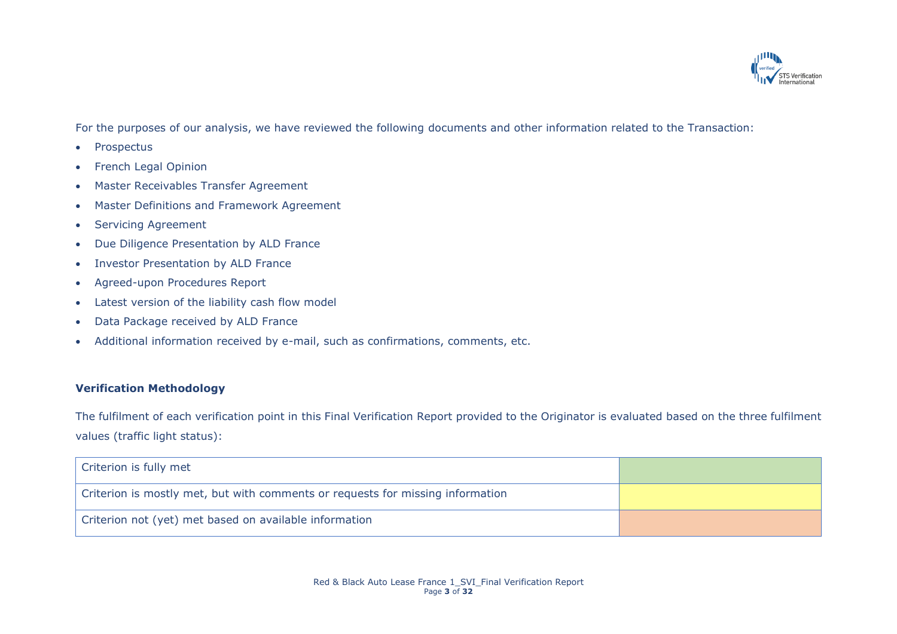

For the purposes of our analysis, we have reviewed the following documents and other information related to the Transaction:

- Prospectus
- French Legal Opinion
- Master Receivables Transfer Agreement
- Master Definitions and Framework Agreement
- Servicing Agreement
- Due Diligence Presentation by ALD France
- Investor Presentation by ALD France
- Agreed-upon Procedures Report
- Latest version of the liability cash flow model
- Data Package received by ALD France
- Additional information received by e-mail, such as confirmations, comments, etc.

# **Verification Methodology**

The fulfilment of each verification point in this Final Verification Report provided to the Originator is evaluated based on the three fulfilment values (traffic light status):

| Criterion is fully met                                                         |  |
|--------------------------------------------------------------------------------|--|
| Criterion is mostly met, but with comments or requests for missing information |  |
| Criterion not (yet) met based on available information                         |  |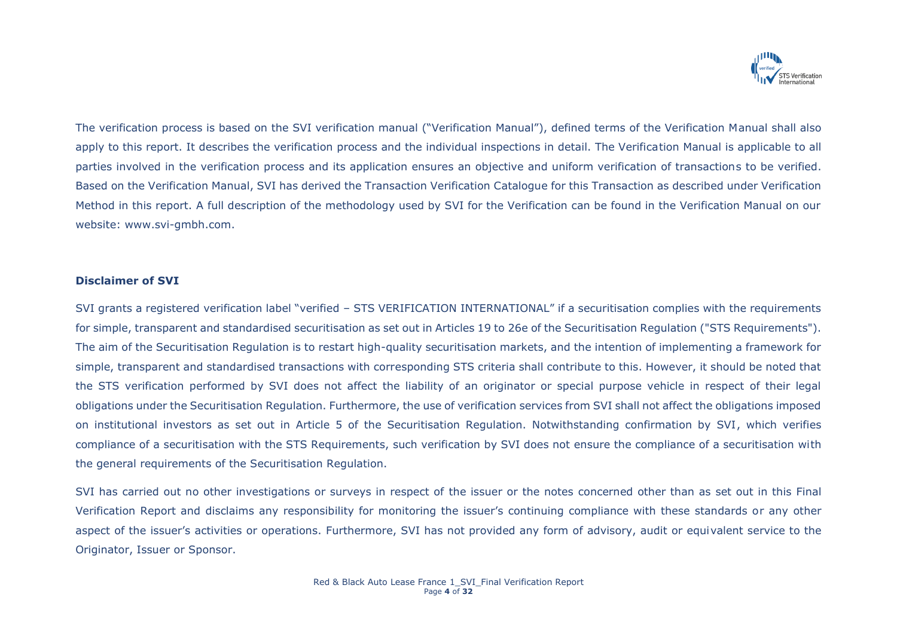

The verification process is based on the SVI verification manual ("Verification Manual"), defined terms of the Verification Manual shall also apply to this report. It describes the verification process and the individual inspections in detail. The Verification Manual is applicable to all parties involved in the verification process and its application ensures an objective and uniform verification of transactions to be verified. Based on the Verification Manual, SVI has derived the Transaction Verification Catalogue for this Transaction as described under Verification Method in this report. A full description of the methodology used by SVI for the Verification can be found in the Verification Manual on our website: www.svi-gmbh.com.

## **Disclaimer of SVI**

SVI grants a registered verification label "verified – STS VERIFICATION INTERNATIONAL" if a securitisation complies with the requirements for simple, transparent and standardised securitisation as set out in Articles 19 to 26e of the Securitisation Regulation ("STS Requirements"). The aim of the Securitisation Regulation is to restart high-quality securitisation markets, and the intention of implementing a framework for simple, transparent and standardised transactions with corresponding STS criteria shall contribute to this. However, it should be noted that the STS verification performed by SVI does not affect the liability of an originator or special purpose vehicle in respect of their legal obligations under the Securitisation Regulation. Furthermore, the use of verification services from SVI shall not affect the obligations imposed on institutional investors as set out in Article 5 of the Securitisation Regulation. Notwithstanding confirmation by SVI, which verifies compliance of a securitisation with the STS Requirements, such verification by SVI does not ensure the compliance of a securitisation with the general requirements of the Securitisation Regulation.

SVI has carried out no other investigations or surveys in respect of the issuer or the notes concerned other than as set out in this Final Verification Report and disclaims any responsibility for monitoring the issuer's continuing compliance with these standards or any other aspect of the issuer's activities or operations. Furthermore, SVI has not provided any form of advisory, audit or equivalent service to the Originator, Issuer or Sponsor.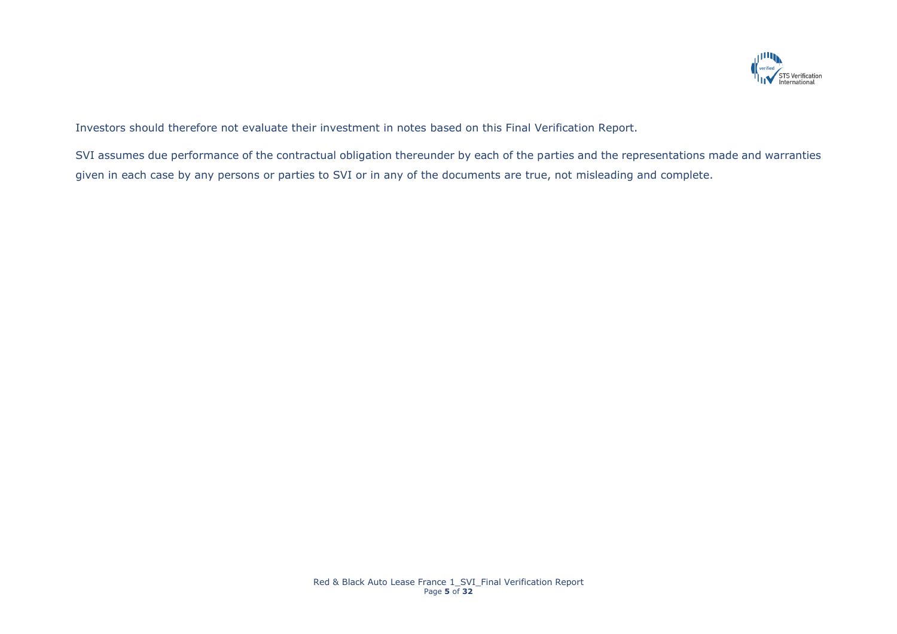

Investors should therefore not evaluate their investment in notes based on this Final Verification Report.

SVI assumes due performance of the contractual obligation thereunder by each of the parties and the representations made and warranties given in each case by any persons or parties to SVI or in any of the documents are true, not misleading and complete.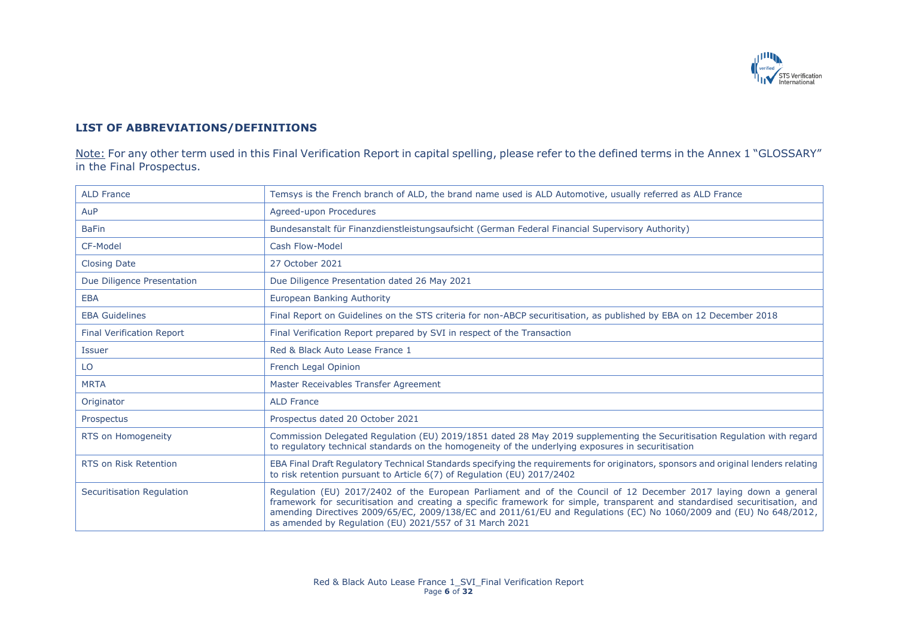

# **LIST OF ABBREVIATIONS/DEFINITIONS**

Note: For any other term used in this Final Verification Report in capital spelling, please refer to the defined terms in the Annex 1 "GLOSSARY" in the Final Prospectus.

| <b>ALD France</b>                | Temsys is the French branch of ALD, the brand name used is ALD Automotive, usually referred as ALD France                                                                                                                                                                                                                                                                                                                         |
|----------------------------------|-----------------------------------------------------------------------------------------------------------------------------------------------------------------------------------------------------------------------------------------------------------------------------------------------------------------------------------------------------------------------------------------------------------------------------------|
| AuP                              | Agreed-upon Procedures                                                                                                                                                                                                                                                                                                                                                                                                            |
| <b>BaFin</b>                     | Bundesanstalt für Finanzdienstleistungsaufsicht (German Federal Financial Supervisory Authority)                                                                                                                                                                                                                                                                                                                                  |
| CF-Model                         | Cash Flow-Model                                                                                                                                                                                                                                                                                                                                                                                                                   |
| <b>Closing Date</b>              | 27 October 2021                                                                                                                                                                                                                                                                                                                                                                                                                   |
| Due Diligence Presentation       | Due Diligence Presentation dated 26 May 2021                                                                                                                                                                                                                                                                                                                                                                                      |
| <b>EBA</b>                       | European Banking Authority                                                                                                                                                                                                                                                                                                                                                                                                        |
| <b>EBA Guidelines</b>            | Final Report on Guidelines on the STS criteria for non-ABCP securitisation, as published by EBA on 12 December 2018                                                                                                                                                                                                                                                                                                               |
| <b>Final Verification Report</b> | Final Verification Report prepared by SVI in respect of the Transaction                                                                                                                                                                                                                                                                                                                                                           |
| <b>Issuer</b>                    | Red & Black Auto Lease France 1                                                                                                                                                                                                                                                                                                                                                                                                   |
| LO                               | French Legal Opinion                                                                                                                                                                                                                                                                                                                                                                                                              |
| <b>MRTA</b>                      | Master Receivables Transfer Agreement                                                                                                                                                                                                                                                                                                                                                                                             |
| Originator                       | <b>ALD France</b>                                                                                                                                                                                                                                                                                                                                                                                                                 |
| Prospectus                       | Prospectus dated 20 October 2021                                                                                                                                                                                                                                                                                                                                                                                                  |
| RTS on Homogeneity               | Commission Delegated Regulation (EU) 2019/1851 dated 28 May 2019 supplementing the Securitisation Regulation with regard<br>to regulatory technical standards on the homogeneity of the underlying exposures in securitisation                                                                                                                                                                                                    |
| <b>RTS on Risk Retention</b>     | EBA Final Draft Regulatory Technical Standards specifying the requirements for originators, sponsors and original lenders relating<br>to risk retention pursuant to Article 6(7) of Regulation (EU) 2017/2402                                                                                                                                                                                                                     |
| <b>Securitisation Regulation</b> | Regulation (EU) 2017/2402 of the European Parliament and of the Council of 12 December 2017 laying down a general<br>framework for securitisation and creating a specific framework for simple, transparent and standardised securitisation, and<br>amending Directives 2009/65/EC, 2009/138/EC and 2011/61/EU and Regulations (EC) No 1060/2009 and (EU) No 648/2012,<br>as amended by Regulation (EU) 2021/557 of 31 March 2021 |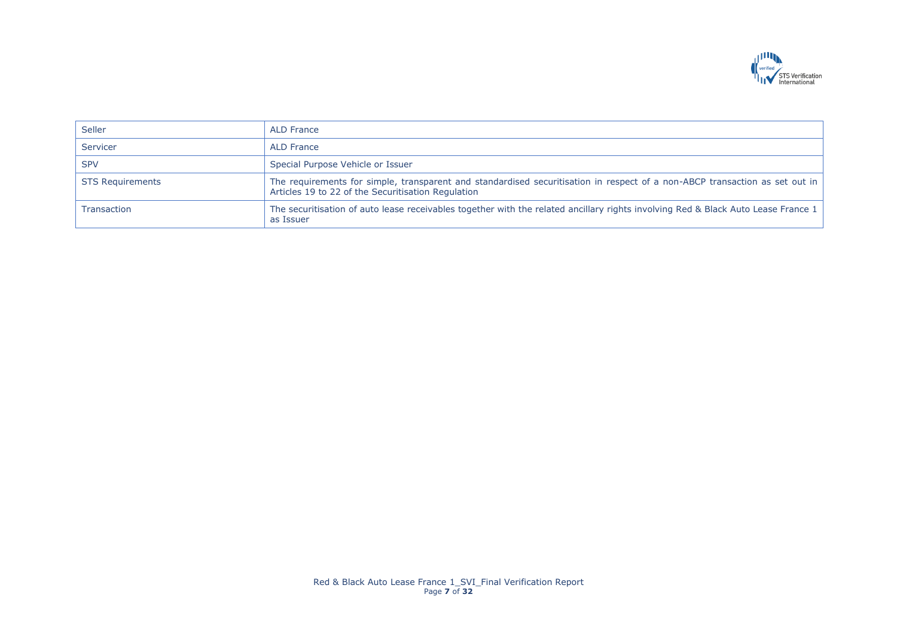

| Seller                  | ALD France                                                                                                                                                                          |
|-------------------------|-------------------------------------------------------------------------------------------------------------------------------------------------------------------------------------|
| Servicer                | ALD France                                                                                                                                                                          |
| <b>SPV</b>              | Special Purpose Vehicle or Issuer                                                                                                                                                   |
| <b>STS Requirements</b> | The requirements for simple, transparent and standardised securitisation in respect of a non-ABCP transaction as set out in  <br>Articles 19 to 22 of the Securitisation Regulation |
| <b>Transaction</b>      | The securitisation of auto lease receivables together with the related ancillary rights involving Red & Black Auto Lease France 1  <br>as Issuer                                    |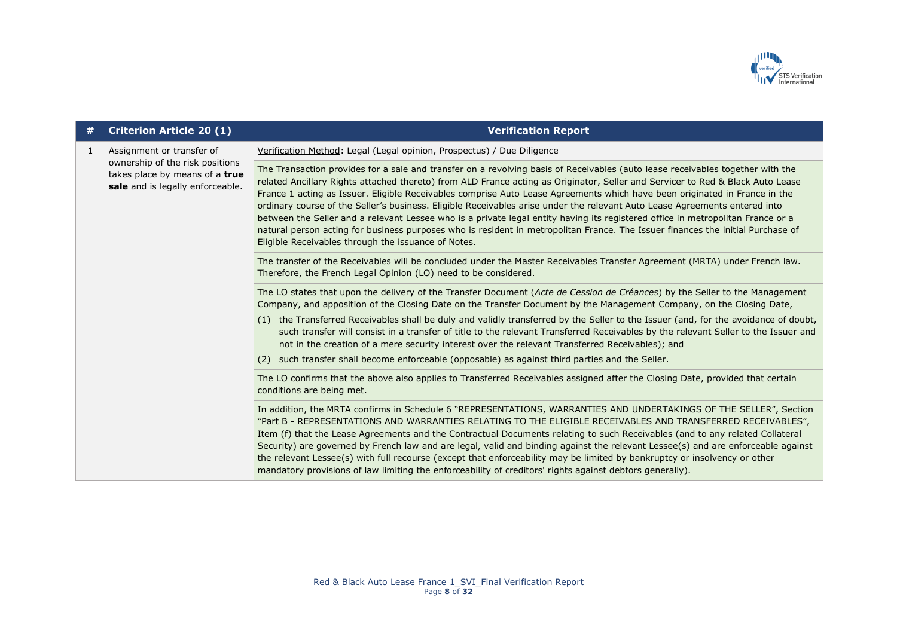

| #            | <b>Criterion Article 20 (1)</b>                                                                                                    | <b>Verification Report</b>                                                                                                                                                                                                                                                                                                                                                                                                                                                                                                                                                                                                                                                                                                                                                                                                                                |
|--------------|------------------------------------------------------------------------------------------------------------------------------------|-----------------------------------------------------------------------------------------------------------------------------------------------------------------------------------------------------------------------------------------------------------------------------------------------------------------------------------------------------------------------------------------------------------------------------------------------------------------------------------------------------------------------------------------------------------------------------------------------------------------------------------------------------------------------------------------------------------------------------------------------------------------------------------------------------------------------------------------------------------|
| $\mathbf{1}$ | Assignment or transfer of<br>ownership of the risk positions<br>takes place by means of a true<br>sale and is legally enforceable. | Verification Method: Legal (Legal opinion, Prospectus) / Due Diligence                                                                                                                                                                                                                                                                                                                                                                                                                                                                                                                                                                                                                                                                                                                                                                                    |
|              |                                                                                                                                    | The Transaction provides for a sale and transfer on a revolving basis of Receivables (auto lease receivables together with the<br>related Ancillary Rights attached thereto) from ALD France acting as Originator, Seller and Servicer to Red & Black Auto Lease<br>France 1 acting as Issuer. Eligible Receivables comprise Auto Lease Agreements which have been originated in France in the<br>ordinary course of the Seller's business. Eligible Receivables arise under the relevant Auto Lease Agreements entered into<br>between the Seller and a relevant Lessee who is a private legal entity having its registered office in metropolitan France or a<br>natural person acting for business purposes who is resident in metropolitan France. The Issuer finances the initial Purchase of<br>Eligible Receivables through the issuance of Notes. |
|              |                                                                                                                                    | The transfer of the Receivables will be concluded under the Master Receivables Transfer Agreement (MRTA) under French law.<br>Therefore, the French Legal Opinion (LO) need to be considered.                                                                                                                                                                                                                                                                                                                                                                                                                                                                                                                                                                                                                                                             |
|              |                                                                                                                                    | The LO states that upon the delivery of the Transfer Document (Acte de Cession de Créances) by the Seller to the Management<br>Company, and apposition of the Closing Date on the Transfer Document by the Management Company, on the Closing Date,                                                                                                                                                                                                                                                                                                                                                                                                                                                                                                                                                                                                       |
|              |                                                                                                                                    | (1) the Transferred Receivables shall be duly and validly transferred by the Seller to the Issuer (and, for the avoidance of doubt,<br>such transfer will consist in a transfer of title to the relevant Transferred Receivables by the relevant Seller to the Issuer and<br>not in the creation of a mere security interest over the relevant Transferred Receivables); and                                                                                                                                                                                                                                                                                                                                                                                                                                                                              |
|              |                                                                                                                                    | such transfer shall become enforceable (opposable) as against third parties and the Seller.<br>(2)                                                                                                                                                                                                                                                                                                                                                                                                                                                                                                                                                                                                                                                                                                                                                        |
|              |                                                                                                                                    | The LO confirms that the above also applies to Transferred Receivables assigned after the Closing Date, provided that certain<br>conditions are being met.                                                                                                                                                                                                                                                                                                                                                                                                                                                                                                                                                                                                                                                                                                |
|              |                                                                                                                                    | In addition, the MRTA confirms in Schedule 6 "REPRESENTATIONS, WARRANTIES AND UNDERTAKINGS OF THE SELLER", Section<br>"Part B - REPRESENTATIONS AND WARRANTIES RELATING TO THE ELIGIBLE RECEIVABLES AND TRANSFERRED RECEIVABLES",<br>Item (f) that the Lease Agreements and the Contractual Documents relating to such Receivables (and to any related Collateral<br>Security) are governed by French law and are legal, valid and binding against the relevant Lessee(s) and are enforceable against<br>the relevant Lessee(s) with full recourse (except that enforceability may be limited by bankruptcy or insolvency or other<br>mandatory provisions of law limiting the enforceability of creditors' rights against debtors generally).                                                                                                            |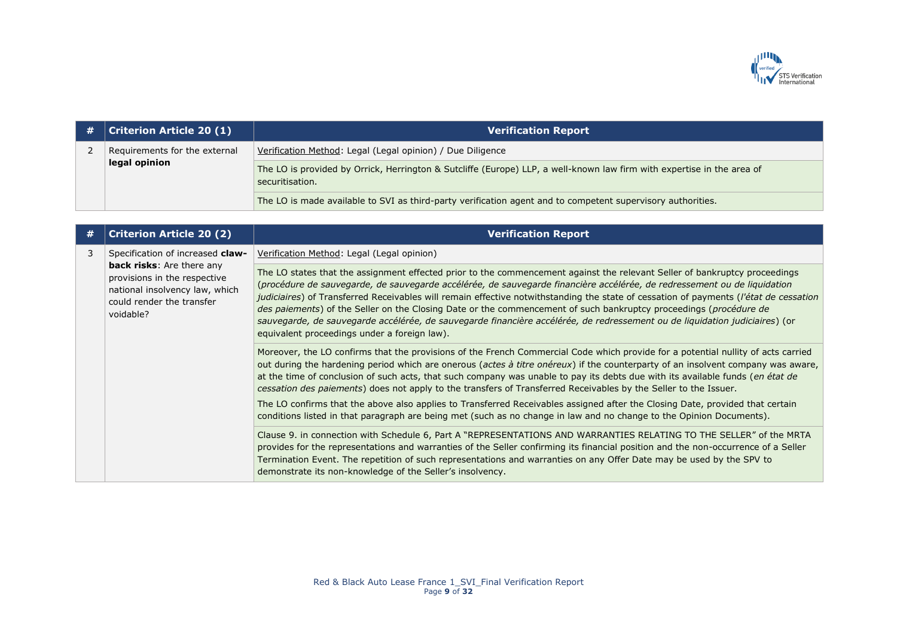

| # | $ $ Criterion Article 20 $(1)$                 | <b>Verification Report</b>                                                                                                                |
|---|------------------------------------------------|-------------------------------------------------------------------------------------------------------------------------------------------|
|   | Requirements for the external<br>legal opinion | Verification Method: Legal (Legal opinion) / Due Diligence                                                                                |
|   |                                                | The LO is provided by Orrick, Herrington & Sutcliffe (Europe) LLP, a well-known law firm with expertise in the area of<br>securitisation. |
|   |                                                | The LO is made available to SVI as third-party verification agent and to competent supervisory authorities.                               |

| # | <b>Criterion Article 20 (2)</b>                                                                                                                                                  | <b>Verification Report</b>                                                                                                                                                                                                                                                                                                                                                                                                                                                                                                                                                                                                                                                                          |
|---|----------------------------------------------------------------------------------------------------------------------------------------------------------------------------------|-----------------------------------------------------------------------------------------------------------------------------------------------------------------------------------------------------------------------------------------------------------------------------------------------------------------------------------------------------------------------------------------------------------------------------------------------------------------------------------------------------------------------------------------------------------------------------------------------------------------------------------------------------------------------------------------------------|
| 3 | Specification of increased claw-<br><b>back risks:</b> Are there any<br>provisions in the respective<br>national insolvency law, which<br>could render the transfer<br>voidable? | Verification Method: Legal (Legal opinion)                                                                                                                                                                                                                                                                                                                                                                                                                                                                                                                                                                                                                                                          |
|   |                                                                                                                                                                                  | The LO states that the assignment effected prior to the commencement against the relevant Seller of bankruptcy proceedings<br>(procédure de sauvegarde, de sauvegarde accélérée, de sauvegarde financière accélérée, de redressement ou de liquidation<br>judiciaires) of Transferred Receivables will remain effective notwithstanding the state of cessation of payments (l'état de cessation<br>des paiements) of the Seller on the Closing Date or the commencement of such bankruptcy proceedings (procédure de<br>sauvegarde, de sauvegarde accélérée, de sauvegarde financière accélérée, de redressement ou de liquidation judiciaires) (or<br>equivalent proceedings under a foreign law). |
|   |                                                                                                                                                                                  | Moreover, the LO confirms that the provisions of the French Commercial Code which provide for a potential nullity of acts carried<br>out during the hardening period which are onerous (actes à titre onéreux) if the counterparty of an insolvent company was aware,<br>at the time of conclusion of such acts, that such company was unable to pay its debts due with its available funds (en état de<br>cessation des paiements) does not apply to the transfers of Transferred Receivables by the Seller to the Issuer.                                                                                                                                                                         |
|   |                                                                                                                                                                                  | The LO confirms that the above also applies to Transferred Receivables assigned after the Closing Date, provided that certain<br>conditions listed in that paragraph are being met (such as no change in law and no change to the Opinion Documents).                                                                                                                                                                                                                                                                                                                                                                                                                                               |
|   |                                                                                                                                                                                  | Clause 9. in connection with Schedule 6, Part A "REPRESENTATIONS AND WARRANTIES RELATING TO THE SELLER" of the MRTA<br>provides for the representations and warranties of the Seller confirming its financial position and the non-occurrence of a Seller<br>Termination Event. The repetition of such representations and warranties on any Offer Date may be used by the SPV to<br>demonstrate its non-knowledge of the Seller's insolvency.                                                                                                                                                                                                                                                      |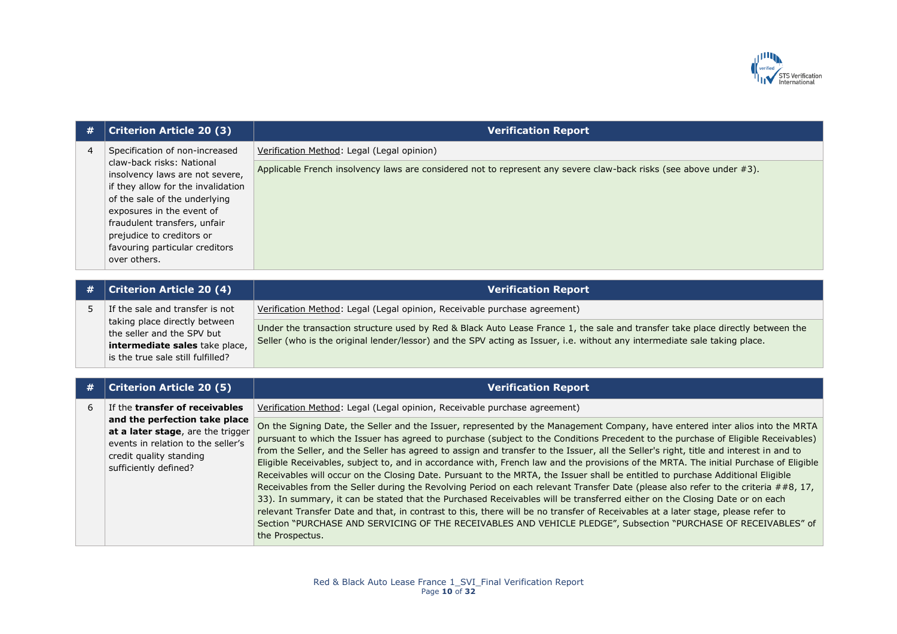

| # | <b>Criterion Article 20 (3)</b>                                                                                                                                                                                                                                                                                   | <b>Verification Report</b>                                                                                                                                                                                                                                                                                                                                                                                                                                                                                                                                                                                                                                                                                                                                                                                                                                                                                                                                                                                                                                                                                                                                                                                                           |
|---|-------------------------------------------------------------------------------------------------------------------------------------------------------------------------------------------------------------------------------------------------------------------------------------------------------------------|--------------------------------------------------------------------------------------------------------------------------------------------------------------------------------------------------------------------------------------------------------------------------------------------------------------------------------------------------------------------------------------------------------------------------------------------------------------------------------------------------------------------------------------------------------------------------------------------------------------------------------------------------------------------------------------------------------------------------------------------------------------------------------------------------------------------------------------------------------------------------------------------------------------------------------------------------------------------------------------------------------------------------------------------------------------------------------------------------------------------------------------------------------------------------------------------------------------------------------------|
| 4 | Specification of non-increased<br>claw-back risks: National<br>insolvency laws are not severe,<br>if they allow for the invalidation<br>of the sale of the underlying<br>exposures in the event of<br>fraudulent transfers, unfair<br>prejudice to creditors or<br>favouring particular creditors<br>over others. | Verification Method: Legal (Legal opinion)                                                                                                                                                                                                                                                                                                                                                                                                                                                                                                                                                                                                                                                                                                                                                                                                                                                                                                                                                                                                                                                                                                                                                                                           |
|   |                                                                                                                                                                                                                                                                                                                   | Applicable French insolvency laws are considered not to represent any severe claw-back risks (see above under #3).                                                                                                                                                                                                                                                                                                                                                                                                                                                                                                                                                                                                                                                                                                                                                                                                                                                                                                                                                                                                                                                                                                                   |
| # | <b>Criterion Article 20 (4)</b>                                                                                                                                                                                                                                                                                   | <b>Verification Report</b>                                                                                                                                                                                                                                                                                                                                                                                                                                                                                                                                                                                                                                                                                                                                                                                                                                                                                                                                                                                                                                                                                                                                                                                                           |
| 5 | If the sale and transfer is not<br>taking place directly between<br>the seller and the SPV but<br>intermediate sales take place,<br>is the true sale still fulfilled?                                                                                                                                             | Verification Method: Legal (Legal opinion, Receivable purchase agreement)                                                                                                                                                                                                                                                                                                                                                                                                                                                                                                                                                                                                                                                                                                                                                                                                                                                                                                                                                                                                                                                                                                                                                            |
|   |                                                                                                                                                                                                                                                                                                                   | Under the transaction structure used by Red & Black Auto Lease France 1, the sale and transfer take place directly between the<br>Seller (who is the original lender/lessor) and the SPV acting as Issuer, i.e. without any intermediate sale taking place.                                                                                                                                                                                                                                                                                                                                                                                                                                                                                                                                                                                                                                                                                                                                                                                                                                                                                                                                                                          |
|   | <b>Criterion Article 20 (5)</b>                                                                                                                                                                                                                                                                                   | <b>Verification Report</b>                                                                                                                                                                                                                                                                                                                                                                                                                                                                                                                                                                                                                                                                                                                                                                                                                                                                                                                                                                                                                                                                                                                                                                                                           |
| 6 | If the transfer of receivables                                                                                                                                                                                                                                                                                    | Verification Method: Legal (Legal opinion, Receivable purchase agreement)                                                                                                                                                                                                                                                                                                                                                                                                                                                                                                                                                                                                                                                                                                                                                                                                                                                                                                                                                                                                                                                                                                                                                            |
|   | and the perfection take place<br>at a later stage, are the trigger<br>events in relation to the seller's<br>credit quality standing<br>sufficiently defined?                                                                                                                                                      | On the Signing Date, the Seller and the Issuer, represented by the Management Company, have entered inter alios into the MRTA<br>pursuant to which the Issuer has agreed to purchase (subject to the Conditions Precedent to the purchase of Eligible Receivables)<br>from the Seller, and the Seller has agreed to assign and transfer to the Issuer, all the Seller's right, title and interest in and to<br>Eligible Receivables, subject to, and in accordance with, French law and the provisions of the MRTA. The initial Purchase of Eligible<br>Receivables will occur on the Closing Date. Pursuant to the MRTA, the Issuer shall be entitled to purchase Additional Eligible<br>Receivables from the Seller during the Revolving Period on each relevant Transfer Date (please also refer to the criteria ##8, 17,<br>33). In summary, it can be stated that the Purchased Receivables will be transferred either on the Closing Date or on each<br>relevant Transfer Date and that, in contrast to this, there will be no transfer of Receivables at a later stage, please refer to<br>Section "PURCHASE AND SERVICING OF THE RECEIVABLES AND VEHICLE PLEDGE", Subsection "PURCHASE OF RECEIVABLES" of<br>the Prospectus. |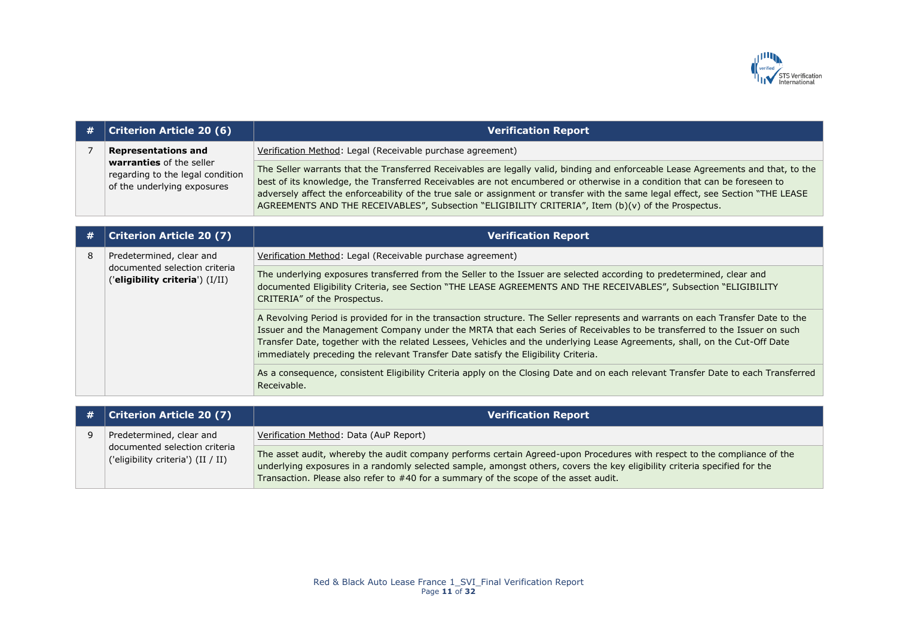

| # | <b>Criterion Article 20 (6)</b>                                                                                           | <b>Verification Report</b>                                                                                                                                                                                                                                                                                                                                                                                                                                                                                |
|---|---------------------------------------------------------------------------------------------------------------------------|-----------------------------------------------------------------------------------------------------------------------------------------------------------------------------------------------------------------------------------------------------------------------------------------------------------------------------------------------------------------------------------------------------------------------------------------------------------------------------------------------------------|
| 7 | <b>Representations and</b><br>warranties of the seller<br>regarding to the legal condition<br>of the underlying exposures | Verification Method: Legal (Receivable purchase agreement)                                                                                                                                                                                                                                                                                                                                                                                                                                                |
|   |                                                                                                                           | The Seller warrants that the Transferred Receivables are legally valid, binding and enforceable Lease Agreements and that, to the<br>best of its knowledge, the Transferred Receivables are not encumbered or otherwise in a condition that can be foreseen to<br>adversely affect the enforceability of the true sale or assignment or transfer with the same legal effect, see Section "THE LEASE<br>AGREEMENTS AND THE RECEIVABLES", Subsection "ELIGIBILITY CRITERIA", Item (b)(v) of the Prospectus. |
|   |                                                                                                                           |                                                                                                                                                                                                                                                                                                                                                                                                                                                                                                           |
| # | <b>Criterion Article 20 (7)</b>                                                                                           | <b>Verification Report</b>                                                                                                                                                                                                                                                                                                                                                                                                                                                                                |
| 8 | Predetermined, clear and<br>documented selection criteria<br>('eligibility criteria') $(I/II)$                            | Verification Method: Legal (Receivable purchase agreement)                                                                                                                                                                                                                                                                                                                                                                                                                                                |
|   |                                                                                                                           | The underlying exposures transferred from the Seller to the Issuer are selected according to predetermined, clear and<br>documented Eligibility Criteria, see Section "THE LEASE AGREEMENTS AND THE RECEIVABLES", Subsection "ELIGIBILITY<br>CRITERIA" of the Prospectus.                                                                                                                                                                                                                                 |
|   |                                                                                                                           | A Revolving Period is provided for in the transaction structure. The Seller represents and warrants on each Transfer Date to the<br>Issuer and the Management Company under the MRTA that each Series of Receivables to be transferred to the Issuer on such<br>Transfer Date, together with the related Lessees, Vehicles and the underlying Lease Agreements, shall, on the Cut-Off Date<br>immediately preceding the relevant Transfer Date satisfy the Eligibility Criteria.                          |
|   |                                                                                                                           | As a consequence, consistent Eligibility Criteria apply on the Closing Date and on each relevant Transfer Date to each Transferred<br>Receivable.                                                                                                                                                                                                                                                                                                                                                         |

| # | <b>Criterion Article 20 (7)</b>                                     | <b>Verification Report</b>                                                                                                                                                                                                                                                                                                                    |
|---|---------------------------------------------------------------------|-----------------------------------------------------------------------------------------------------------------------------------------------------------------------------------------------------------------------------------------------------------------------------------------------------------------------------------------------|
|   | Predetermined, clear and                                            | Verification Method: Data (AuP Report)                                                                                                                                                                                                                                                                                                        |
|   | documented selection criteria<br>('eligibility criteria') (II / II) | The asset audit, whereby the audit company performs certain Agreed-upon Procedures with respect to the compliance of the<br>underlying exposures in a randomly selected sample, amongst others, covers the key eligibility criteria specified for the<br>Transaction. Please also refer to #40 for a summary of the scope of the asset audit. |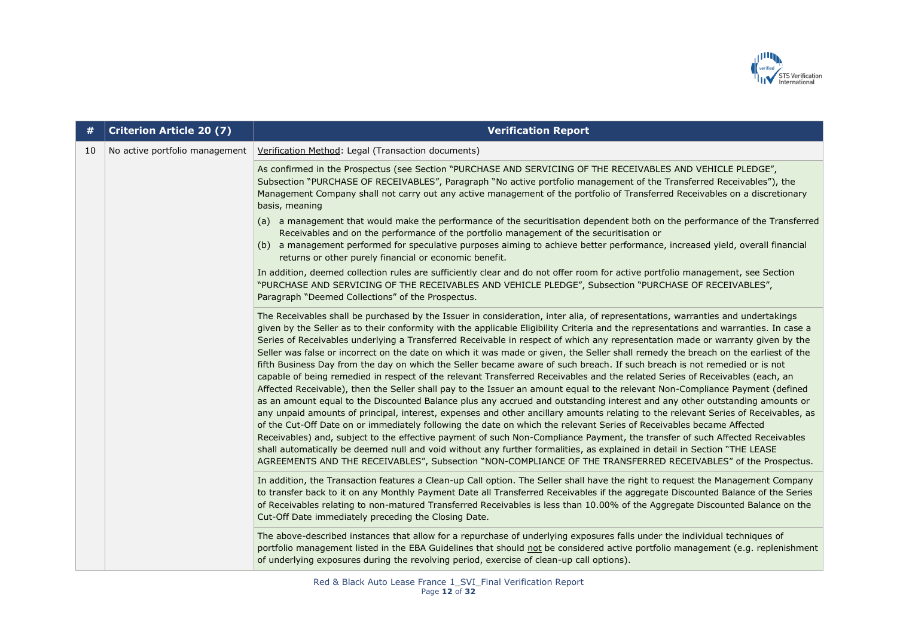

| #  | <b>Criterion Article 20 (7)</b> | <b>Verification Report</b>                                                                                                                                                                                                                                                                                                                                                                                                                                                                                                                                                                                                                                                                                                                                                                                                                                                                                                                                                                                                                                                                                                                                                                                                                                                                                                                                                                                                                                                                                                                                                                                                                                                                                                |
|----|---------------------------------|---------------------------------------------------------------------------------------------------------------------------------------------------------------------------------------------------------------------------------------------------------------------------------------------------------------------------------------------------------------------------------------------------------------------------------------------------------------------------------------------------------------------------------------------------------------------------------------------------------------------------------------------------------------------------------------------------------------------------------------------------------------------------------------------------------------------------------------------------------------------------------------------------------------------------------------------------------------------------------------------------------------------------------------------------------------------------------------------------------------------------------------------------------------------------------------------------------------------------------------------------------------------------------------------------------------------------------------------------------------------------------------------------------------------------------------------------------------------------------------------------------------------------------------------------------------------------------------------------------------------------------------------------------------------------------------------------------------------------|
| 10 | No active portfolio management  | Verification Method: Legal (Transaction documents)                                                                                                                                                                                                                                                                                                                                                                                                                                                                                                                                                                                                                                                                                                                                                                                                                                                                                                                                                                                                                                                                                                                                                                                                                                                                                                                                                                                                                                                                                                                                                                                                                                                                        |
|    |                                 | As confirmed in the Prospectus (see Section "PURCHASE AND SERVICING OF THE RECEIVABLES AND VEHICLE PLEDGE",<br>Subsection "PURCHASE OF RECEIVABLES", Paragraph "No active portfolio management of the Transferred Receivables"), the<br>Management Company shall not carry out any active management of the portfolio of Transferred Receivables on a discretionary<br>basis, meaning                                                                                                                                                                                                                                                                                                                                                                                                                                                                                                                                                                                                                                                                                                                                                                                                                                                                                                                                                                                                                                                                                                                                                                                                                                                                                                                                     |
|    |                                 | (a) a management that would make the performance of the securitisation dependent both on the performance of the Transferred<br>Receivables and on the performance of the portfolio management of the securitisation or<br>(b) a management performed for speculative purposes aiming to achieve better performance, increased yield, overall financial<br>returns or other purely financial or economic benefit.                                                                                                                                                                                                                                                                                                                                                                                                                                                                                                                                                                                                                                                                                                                                                                                                                                                                                                                                                                                                                                                                                                                                                                                                                                                                                                          |
|    |                                 | In addition, deemed collection rules are sufficiently clear and do not offer room for active portfolio management, see Section<br>"PURCHASE AND SERVICING OF THE RECEIVABLES AND VEHICLE PLEDGE", Subsection "PURCHASE OF RECEIVABLES",<br>Paragraph "Deemed Collections" of the Prospectus.                                                                                                                                                                                                                                                                                                                                                                                                                                                                                                                                                                                                                                                                                                                                                                                                                                                                                                                                                                                                                                                                                                                                                                                                                                                                                                                                                                                                                              |
|    |                                 | The Receivables shall be purchased by the Issuer in consideration, inter alia, of representations, warranties and undertakings<br>given by the Seller as to their conformity with the applicable Eligibility Criteria and the representations and warranties. In case a<br>Series of Receivables underlying a Transferred Receivable in respect of which any representation made or warranty given by the<br>Seller was false or incorrect on the date on which it was made or given, the Seller shall remedy the breach on the earliest of the<br>fifth Business Day from the day on which the Seller became aware of such breach. If such breach is not remedied or is not<br>capable of being remedied in respect of the relevant Transferred Receivables and the related Series of Receivables (each, an<br>Affected Receivable), then the Seller shall pay to the Issuer an amount equal to the relevant Non-Compliance Payment (defined<br>as an amount equal to the Discounted Balance plus any accrued and outstanding interest and any other outstanding amounts or<br>any unpaid amounts of principal, interest, expenses and other ancillary amounts relating to the relevant Series of Receivables, as<br>of the Cut-Off Date on or immediately following the date on which the relevant Series of Receivables became Affected<br>Receivables) and, subject to the effective payment of such Non-Compliance Payment, the transfer of such Affected Receivables<br>shall automatically be deemed null and void without any further formalities, as explained in detail in Section "THE LEASE<br>AGREEMENTS AND THE RECEIVABLES", Subsection "NON-COMPLIANCE OF THE TRANSFERRED RECEIVABLES" of the Prospectus. |
|    |                                 | In addition, the Transaction features a Clean-up Call option. The Seller shall have the right to request the Management Company<br>to transfer back to it on any Monthly Payment Date all Transferred Receivables if the aggregate Discounted Balance of the Series<br>of Receivables relating to non-matured Transferred Receivables is less than 10.00% of the Aggregate Discounted Balance on the<br>Cut-Off Date immediately preceding the Closing Date.                                                                                                                                                                                                                                                                                                                                                                                                                                                                                                                                                                                                                                                                                                                                                                                                                                                                                                                                                                                                                                                                                                                                                                                                                                                              |
|    |                                 | The above-described instances that allow for a repurchase of underlying exposures falls under the individual techniques of<br>portfolio management listed in the EBA Guidelines that should not be considered active portfolio management (e.g. replenishment<br>of underlying exposures during the revolving period, exercise of clean-up call options).                                                                                                                                                                                                                                                                                                                                                                                                                                                                                                                                                                                                                                                                                                                                                                                                                                                                                                                                                                                                                                                                                                                                                                                                                                                                                                                                                                 |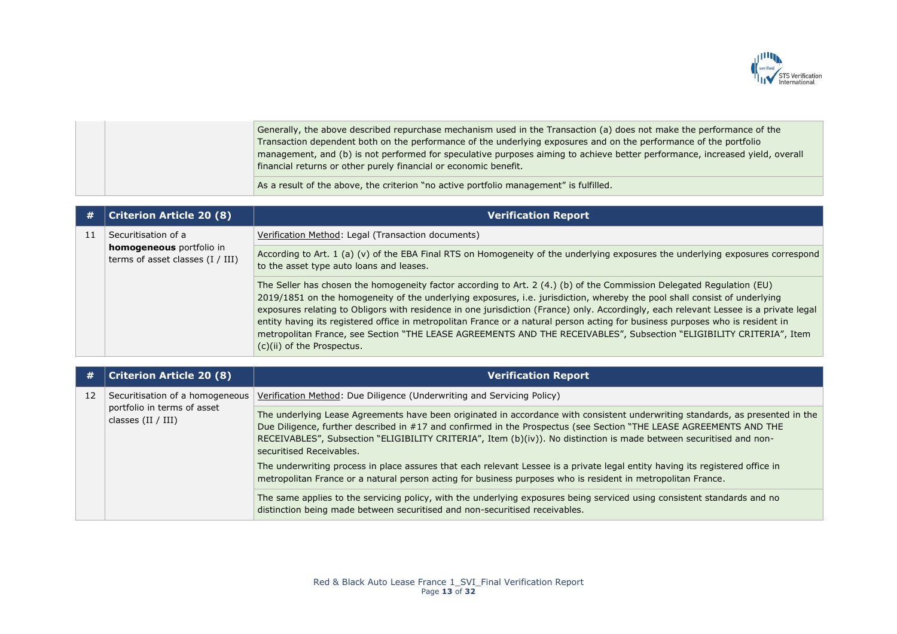

|  | Generally, the above described repurchase mechanism used in the Transaction (a) does not make the performance of the         |
|--|------------------------------------------------------------------------------------------------------------------------------|
|  | Transaction dependent both on the performance of the underlying exposures and on the performance of the portfolio            |
|  | management, and (b) is not performed for speculative purposes aiming to achieve better performance, increased yield, overall |
|  | financial returns or other purely financial or economic benefit.                                                             |
|  | As a result of the above, the criterion "no active portfolio management" is fulfilled.                                       |

| # | <b>Criterion Article 20 (8)</b>                                                       | <b>Verification Report</b>                                                                                                                                                                                                                                                                                                                                                                                                                                                                                                                                                                                                                                                          |
|---|---------------------------------------------------------------------------------------|-------------------------------------------------------------------------------------------------------------------------------------------------------------------------------------------------------------------------------------------------------------------------------------------------------------------------------------------------------------------------------------------------------------------------------------------------------------------------------------------------------------------------------------------------------------------------------------------------------------------------------------------------------------------------------------|
|   | Securitisation of a<br>homogeneous portfolio in<br>terms of asset classes $(I / III)$ | Verification Method: Legal (Transaction documents)                                                                                                                                                                                                                                                                                                                                                                                                                                                                                                                                                                                                                                  |
|   |                                                                                       | According to Art. 1 (a) (v) of the EBA Final RTS on Homogeneity of the underlying exposures the underlying exposures correspond<br>to the asset type auto loans and leases.                                                                                                                                                                                                                                                                                                                                                                                                                                                                                                         |
|   |                                                                                       | The Seller has chosen the homogeneity factor according to Art. 2 (4.) (b) of the Commission Delegated Regulation (EU)<br>2019/1851 on the homogeneity of the underlying exposures, i.e. jurisdiction, whereby the pool shall consist of underlying<br>exposures relating to Obligors with residence in one jurisdiction (France) only. Accordingly, each relevant Lessee is a private legal<br>entity having its registered office in metropolitan France or a natural person acting for business purposes who is resident in<br>metropolitan France, see Section "THE LEASE AGREEMENTS AND THE RECEIVABLES", Subsection "ELIGIBILITY CRITERIA", Item<br>(c)(ii) of the Prospectus. |

| #  | <b>Criterion Article 20 (8)</b>                                                          | <b>Verification Report</b>                                                                                                                                                                                                                                                                                                                                                                              |
|----|------------------------------------------------------------------------------------------|---------------------------------------------------------------------------------------------------------------------------------------------------------------------------------------------------------------------------------------------------------------------------------------------------------------------------------------------------------------------------------------------------------|
| 12 | Securitisation of a homogeneous  <br>portfolio in terms of asset<br>classes $(II / III)$ | Verification Method: Due Diligence (Underwriting and Servicing Policy)                                                                                                                                                                                                                                                                                                                                  |
|    |                                                                                          | The underlying Lease Agreements have been originated in accordance with consistent underwriting standards, as presented in the<br>Due Diligence, further described in #17 and confirmed in the Prospectus (see Section "THE LEASE AGREEMENTS AND THE<br>RECEIVABLES", Subsection "ELIGIBILITY CRITERIA", Item (b)(iv)). No distinction is made between securitised and non-<br>securitised Receivables. |
|    |                                                                                          | The underwriting process in place assures that each relevant Lessee is a private legal entity having its registered office in<br>metropolitan France or a natural person acting for business purposes who is resident in metropolitan France.                                                                                                                                                           |
|    |                                                                                          | The same applies to the servicing policy, with the underlying exposures being serviced using consistent standards and no<br>distinction being made between securitised and non-securitised receivables.                                                                                                                                                                                                 |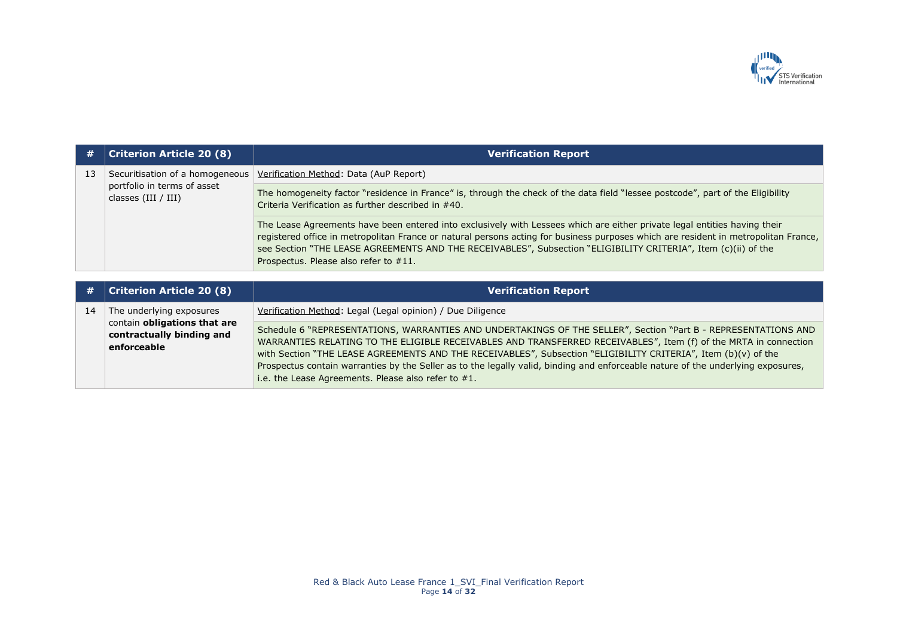

| #  | <b>Criterion Article 20 (8)</b>                                                                      | <b>Verification Report</b>                                                                                                                                                                                                                                                                                                                                                                                                                                                                                                                         |
|----|------------------------------------------------------------------------------------------------------|----------------------------------------------------------------------------------------------------------------------------------------------------------------------------------------------------------------------------------------------------------------------------------------------------------------------------------------------------------------------------------------------------------------------------------------------------------------------------------------------------------------------------------------------------|
| 13 | Securitisation of a homogeneous                                                                      | Verification Method: Data (AuP Report)                                                                                                                                                                                                                                                                                                                                                                                                                                                                                                             |
|    | portfolio in terms of asset<br>classes $(III / III)$                                                 | The homogeneity factor "residence in France" is, through the check of the data field "lessee postcode", part of the Eligibility<br>Criteria Verification as further described in #40.                                                                                                                                                                                                                                                                                                                                                              |
|    |                                                                                                      | The Lease Agreements have been entered into exclusively with Lessees which are either private legal entities having their<br>registered office in metropolitan France or natural persons acting for business purposes which are resident in metropolitan France,<br>see Section "THE LEASE AGREEMENTS AND THE RECEIVABLES", Subsection "ELIGIBILITY CRITERIA", Item (c)(ii) of the<br>Prospectus. Please also refer to #11.                                                                                                                        |
|    |                                                                                                      |                                                                                                                                                                                                                                                                                                                                                                                                                                                                                                                                                    |
| #  | <b>Criterion Article 20 (8)</b>                                                                      | <b>Verification Report</b>                                                                                                                                                                                                                                                                                                                                                                                                                                                                                                                         |
| 14 | The underlying exposures<br>contain obligations that are<br>contractually binding and<br>enforceable | Verification Method: Legal (Legal opinion) / Due Diligence                                                                                                                                                                                                                                                                                                                                                                                                                                                                                         |
|    |                                                                                                      | Schedule 6 "REPRESENTATIONS, WARRANTIES AND UNDERTAKINGS OF THE SELLER", Section "Part B - REPRESENTATIONS AND<br>WARRANTIES RELATING TO THE ELIGIBLE RECEIVABLES AND TRANSFERRED RECEIVABLES", Item (f) of the MRTA in connection<br>with Section "THE LEASE AGREEMENTS AND THE RECEIVABLES", Subsection "ELIGIBILITY CRITERIA", Item (b)(v) of the<br>Prospectus contain warranties by the Seller as to the legally valid, binding and enforceable nature of the underlying exposures,<br>i.e. the Lease Agreements. Please also refer to $#1$ . |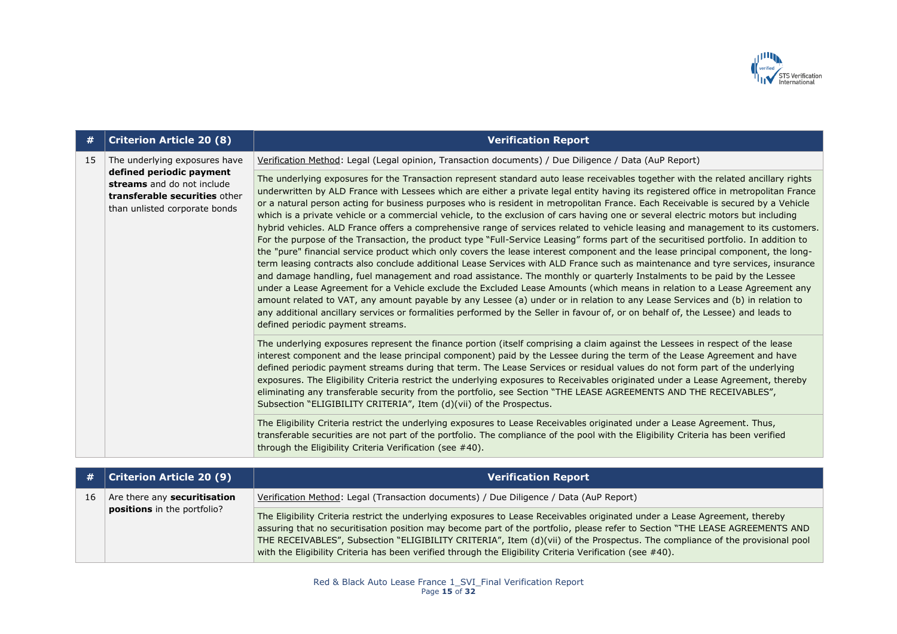

| #  | <b>Criterion Article 20 (8)</b>                                                                                                                           | <b>Verification Report</b>                                                                                                                                                                                                                                                                                                                                                                                                                                                                                                                                                                                                                                                                                                                                                                                                                                                                                                                                                                                                                                                                                                                                                                                                                                                                                                                                                                                                                                                                                                                                                                                                                                            |
|----|-----------------------------------------------------------------------------------------------------------------------------------------------------------|-----------------------------------------------------------------------------------------------------------------------------------------------------------------------------------------------------------------------------------------------------------------------------------------------------------------------------------------------------------------------------------------------------------------------------------------------------------------------------------------------------------------------------------------------------------------------------------------------------------------------------------------------------------------------------------------------------------------------------------------------------------------------------------------------------------------------------------------------------------------------------------------------------------------------------------------------------------------------------------------------------------------------------------------------------------------------------------------------------------------------------------------------------------------------------------------------------------------------------------------------------------------------------------------------------------------------------------------------------------------------------------------------------------------------------------------------------------------------------------------------------------------------------------------------------------------------------------------------------------------------------------------------------------------------|
| 15 | The underlying exposures have<br>defined periodic payment<br>streams and do not include<br>transferable securities other<br>than unlisted corporate bonds | Verification Method: Legal (Legal opinion, Transaction documents) / Due Diligence / Data (AuP Report)                                                                                                                                                                                                                                                                                                                                                                                                                                                                                                                                                                                                                                                                                                                                                                                                                                                                                                                                                                                                                                                                                                                                                                                                                                                                                                                                                                                                                                                                                                                                                                 |
|    |                                                                                                                                                           | The underlying exposures for the Transaction represent standard auto lease receivables together with the related ancillary rights<br>underwritten by ALD France with Lessees which are either a private legal entity having its registered office in metropolitan France<br>or a natural person acting for business purposes who is resident in metropolitan France. Each Receivable is secured by a Vehicle<br>which is a private vehicle or a commercial vehicle, to the exclusion of cars having one or several electric motors but including<br>hybrid vehicles. ALD France offers a comprehensive range of services related to vehicle leasing and management to its customers.<br>For the purpose of the Transaction, the product type "Full-Service Leasing" forms part of the securitised portfolio. In addition to<br>the "pure" financial service product which only covers the lease interest component and the lease principal component, the long-<br>term leasing contracts also conclude additional Lease Services with ALD France such as maintenance and tyre services, insurance<br>and damage handling, fuel management and road assistance. The monthly or quarterly Instalments to be paid by the Lessee<br>under a Lease Agreement for a Vehicle exclude the Excluded Lease Amounts (which means in relation to a Lease Agreement any<br>amount related to VAT, any amount payable by any Lessee (a) under or in relation to any Lease Services and (b) in relation to<br>any additional ancillary services or formalities performed by the Seller in favour of, or on behalf of, the Lessee) and leads to<br>defined periodic payment streams. |
|    |                                                                                                                                                           | The underlying exposures represent the finance portion (itself comprising a claim against the Lessees in respect of the lease<br>interest component and the lease principal component) paid by the Lessee during the term of the Lease Agreement and have<br>defined periodic payment streams during that term. The Lease Services or residual values do not form part of the underlying<br>exposures. The Eligibility Criteria restrict the underlying exposures to Receivables originated under a Lease Agreement, thereby<br>eliminating any transferable security from the portfolio, see Section "THE LEASE AGREEMENTS AND THE RECEIVABLES",<br>Subsection "ELIGIBILITY CRITERIA", Item (d)(vii) of the Prospectus.                                                                                                                                                                                                                                                                                                                                                                                                                                                                                                                                                                                                                                                                                                                                                                                                                                                                                                                                              |
|    |                                                                                                                                                           | The Eligibility Criteria restrict the underlying exposures to Lease Receivables originated under a Lease Agreement. Thus,<br>transferable securities are not part of the portfolio. The compliance of the pool with the Eligibility Criteria has been verified<br>through the Eligibility Criteria Verification (see #40).                                                                                                                                                                                                                                                                                                                                                                                                                                                                                                                                                                                                                                                                                                                                                                                                                                                                                                                                                                                                                                                                                                                                                                                                                                                                                                                                            |

|    | $\#$ Criterion Article 20 (9)                                             | <b>Verification Report</b>                                                                                                                                                                                                                                                                                                                                                                                                                                                                              |
|----|---------------------------------------------------------------------------|---------------------------------------------------------------------------------------------------------------------------------------------------------------------------------------------------------------------------------------------------------------------------------------------------------------------------------------------------------------------------------------------------------------------------------------------------------------------------------------------------------|
| 16 | Are there any <b>securitisation</b><br><b>positions</b> in the portfolio? | Verification Method: Legal (Transaction documents) / Due Diligence / Data (AuP Report)                                                                                                                                                                                                                                                                                                                                                                                                                  |
|    |                                                                           | The Eligibility Criteria restrict the underlying exposures to Lease Receivables originated under a Lease Agreement, thereby<br>assuring that no securitisation position may become part of the portfolio, please refer to Section "THE LEASE AGREEMENTS AND<br>THE RECEIVABLES", Subsection "ELIGIBILITY CRITERIA", Item (d)(vii) of the Prospectus. The compliance of the provisional pool<br>with the Eligibility Criteria has been verified through the Eligibility Criteria Verification (see #40). |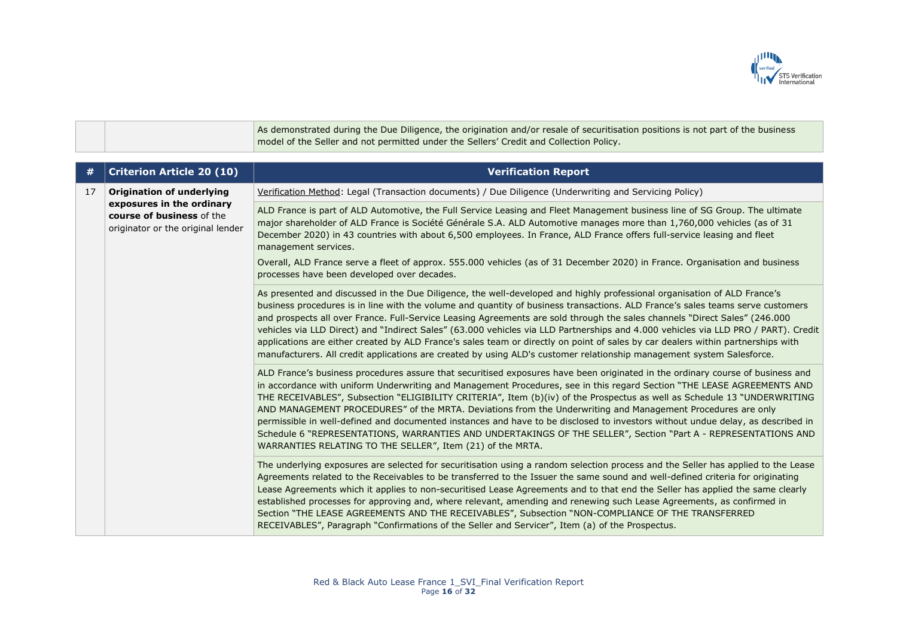

As demonstrated during the Due Diligence, the origination and/or resale of securitisation positions is not part of the business model of the Seller and not permitted under the Sellers' Credit and Collection Policy.

| #  | <b>Criterion Article 20 (10)</b>                                                                                                | <b>Verification Report</b>                                                                                                                                                                                                                                                                                                                                                                                                                                                                                                                                                                                                                                                                                                                                                                                              |
|----|---------------------------------------------------------------------------------------------------------------------------------|-------------------------------------------------------------------------------------------------------------------------------------------------------------------------------------------------------------------------------------------------------------------------------------------------------------------------------------------------------------------------------------------------------------------------------------------------------------------------------------------------------------------------------------------------------------------------------------------------------------------------------------------------------------------------------------------------------------------------------------------------------------------------------------------------------------------------|
| 17 | <b>Origination of underlying</b><br>exposures in the ordinary<br>course of business of the<br>originator or the original lender | Verification Method: Legal (Transaction documents) / Due Diligence (Underwriting and Servicing Policy)                                                                                                                                                                                                                                                                                                                                                                                                                                                                                                                                                                                                                                                                                                                  |
|    |                                                                                                                                 | ALD France is part of ALD Automotive, the Full Service Leasing and Fleet Management business line of SG Group. The ultimate<br>major shareholder of ALD France is Société Générale S.A. ALD Automotive manages more than 1,760,000 vehicles (as of 31<br>December 2020) in 43 countries with about 6,500 employees. In France, ALD France offers full-service leasing and fleet<br>management services.                                                                                                                                                                                                                                                                                                                                                                                                                 |
|    |                                                                                                                                 | Overall, ALD France serve a fleet of approx. 555.000 vehicles (as of 31 December 2020) in France. Organisation and business<br>processes have been developed over decades.                                                                                                                                                                                                                                                                                                                                                                                                                                                                                                                                                                                                                                              |
|    |                                                                                                                                 | As presented and discussed in the Due Diligence, the well-developed and highly professional organisation of ALD France's<br>business procedures is in line with the volume and quantity of business transactions. ALD France's sales teams serve customers<br>and prospects all over France. Full-Service Leasing Agreements are sold through the sales channels "Direct Sales" (246.000<br>vehicles via LLD Direct) and "Indirect Sales" (63.000 vehicles via LLD Partnerships and 4.000 vehicles via LLD PRO / PART). Credit<br>applications are either created by ALD France's sales team or directly on point of sales by car dealers within partnerships with<br>manufacturers. All credit applications are created by using ALD's customer relationship management system Salesforce.                             |
|    |                                                                                                                                 | ALD France's business procedures assure that securitised exposures have been originated in the ordinary course of business and<br>in accordance with uniform Underwriting and Management Procedures, see in this regard Section "THE LEASE AGREEMENTS AND<br>THE RECEIVABLES", Subsection "ELIGIBILITY CRITERIA", Item (b)(iv) of the Prospectus as well as Schedule 13 "UNDERWRITING<br>AND MANAGEMENT PROCEDURES" of the MRTA. Deviations from the Underwriting and Management Procedures are only<br>permissible in well-defined and documented instances and have to be disclosed to investors without undue delay, as described in<br>Schedule 6 "REPRESENTATIONS, WARRANTIES AND UNDERTAKINGS OF THE SELLER", Section "Part A - REPRESENTATIONS AND<br>WARRANTIES RELATING TO THE SELLER", Item (21) of the MRTA. |
|    |                                                                                                                                 | The underlying exposures are selected for securitisation using a random selection process and the Seller has applied to the Lease<br>Agreements related to the Receivables to be transferred to the Issuer the same sound and well-defined criteria for originating<br>Lease Agreements which it applies to non-securitised Lease Agreements and to that end the Seller has applied the same clearly<br>established processes for approving and, where relevant, amending and renewing such Lease Agreements, as confirmed in<br>Section "THE LEASE AGREEMENTS AND THE RECEIVABLES", Subsection "NON-COMPLIANCE OF THE TRANSFERRED<br>RECEIVABLES", Paragraph "Confirmations of the Seller and Servicer", Item (a) of the Prospectus.                                                                                   |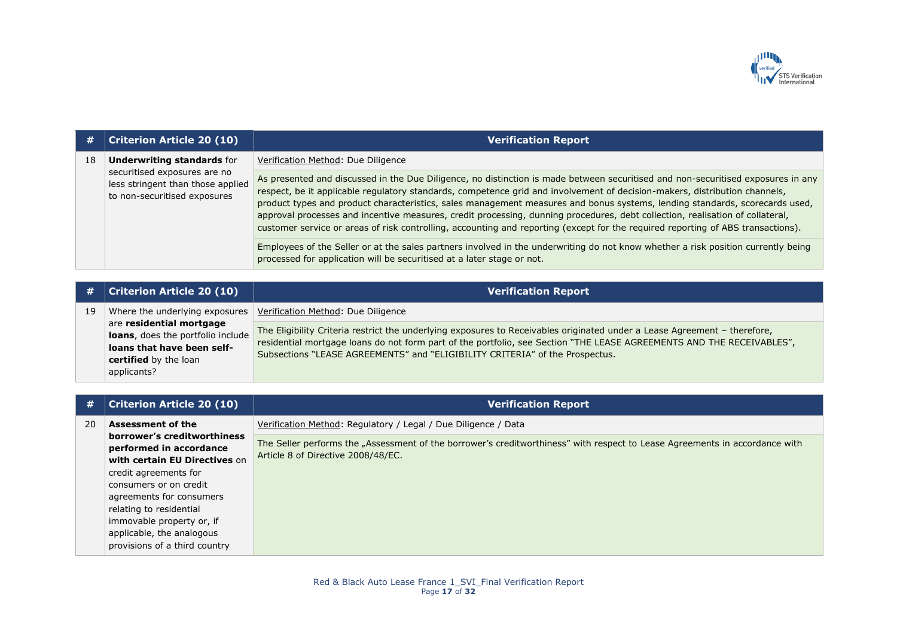

| #  | <b>Criterion Article 20 (10)</b>                                                                                                       | <b>Verification Report</b>                                                                                                                                                                                                                                                                                                                                                                                                                                                                                                                                                                                                                                         |
|----|----------------------------------------------------------------------------------------------------------------------------------------|--------------------------------------------------------------------------------------------------------------------------------------------------------------------------------------------------------------------------------------------------------------------------------------------------------------------------------------------------------------------------------------------------------------------------------------------------------------------------------------------------------------------------------------------------------------------------------------------------------------------------------------------------------------------|
| 18 | <b>Underwriting standards for</b><br>securitised exposures are no<br>less stringent than those applied<br>to non-securitised exposures | Verification Method: Due Diligence                                                                                                                                                                                                                                                                                                                                                                                                                                                                                                                                                                                                                                 |
|    |                                                                                                                                        | As presented and discussed in the Due Diligence, no distinction is made between securitised and non-securitised exposures in any<br>respect, be it applicable regulatory standards, competence grid and involvement of decision-makers, distribution channels,<br>product types and product characteristics, sales management measures and bonus systems, lending standards, scorecards used,<br>approval processes and incentive measures, credit processing, dunning procedures, debt collection, realisation of collateral,<br>customer service or areas of risk controlling, accounting and reporting (except for the required reporting of ABS transactions). |
|    |                                                                                                                                        | Employees of the Seller or at the sales partners involved in the underwriting do not know whether a risk position currently being<br>processed for application will be securitised at a later stage or not.                                                                                                                                                                                                                                                                                                                                                                                                                                                        |

| #  | Criterion Article 20 (10)                                                                                                           | <b>Verification Report</b>                                                                                                                                                                                                                                                                                                         |
|----|-------------------------------------------------------------------------------------------------------------------------------------|------------------------------------------------------------------------------------------------------------------------------------------------------------------------------------------------------------------------------------------------------------------------------------------------------------------------------------|
| 19 | Where the underlying exposures                                                                                                      | Verification Method: Due Diligence                                                                                                                                                                                                                                                                                                 |
|    | are residential mortgage<br>loans, does the portfolio include<br>loans that have been self-<br>certified by the loan<br>applicants? | The Eligibility Criteria restrict the underlying exposures to Receivables originated under a Lease Agreement - therefore,<br>residential mortgage loans do not form part of the portfolio, see Section "THE LEASE AGREEMENTS AND THE RECEIVABLES",<br>Subsections "LEASE AGREEMENTS" and "ELIGIBILITY CRITERIA" of the Prospectus. |

| Criterion Article 20 (10)     | <b>Verification Report</b>                                                                                                  |
|-------------------------------|-----------------------------------------------------------------------------------------------------------------------------|
| <b>Assessment of the</b>      | Verification Method: Regulatory / Legal / Due Diligence / Data                                                              |
| performed in accordance       | The Seller performs the "Assessment of the borrower's creditworthiness" with respect to Lease Agreements in accordance with |
| with certain EU Directives on | Article 8 of Directive 2008/48/EC.                                                                                          |
| credit agreements for         |                                                                                                                             |
| consumers or on credit        |                                                                                                                             |
| agreements for consumers      |                                                                                                                             |
| relating to residential       |                                                                                                                             |
| immovable property or, if     |                                                                                                                             |
| applicable, the analogous     |                                                                                                                             |
| provisions of a third country |                                                                                                                             |
|                               | borrower's creditworthiness                                                                                                 |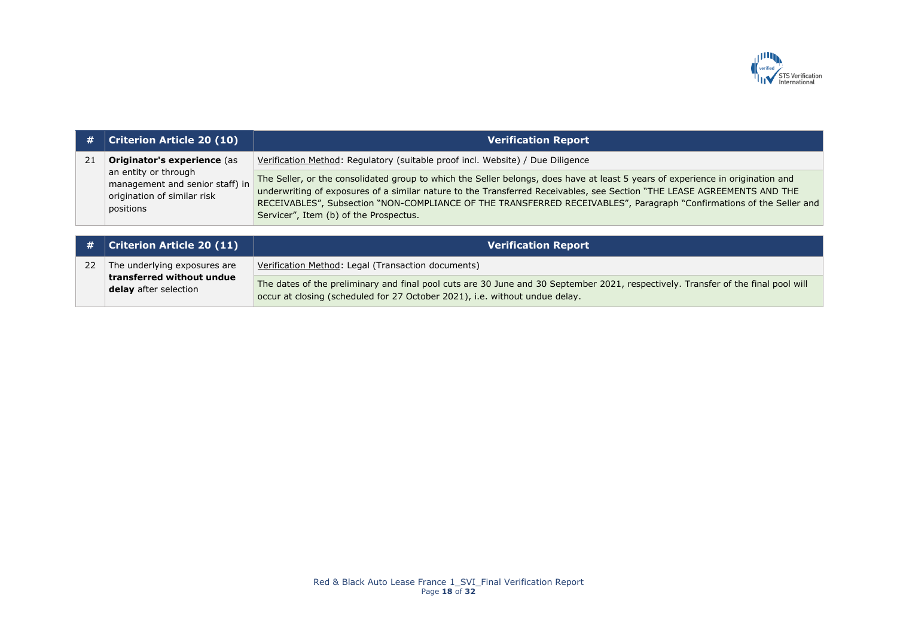

| #  | <b>Criterion Article 20 (10)</b>                                                                                                          | <b>Verification Report</b>                                                                                                                                                                                                                                                                                                                                                                                                  |
|----|-------------------------------------------------------------------------------------------------------------------------------------------|-----------------------------------------------------------------------------------------------------------------------------------------------------------------------------------------------------------------------------------------------------------------------------------------------------------------------------------------------------------------------------------------------------------------------------|
| 21 | <b>Originator's experience (as</b><br>an entity or through<br>management and senior staff) in<br>origination of similar risk<br>positions | Verification Method: Regulatory (suitable proof incl. Website) / Due Diligence                                                                                                                                                                                                                                                                                                                                              |
|    |                                                                                                                                           | The Seller, or the consolidated group to which the Seller belongs, does have at least 5 years of experience in origination and<br>underwriting of exposures of a similar nature to the Transferred Receivables, see Section "THE LEASE AGREEMENTS AND THE<br>RECEIVABLES", Subsection "NON-COMPLIANCE OF THE TRANSFERRED RECEIVABLES", Paragraph "Confirmations of the Seller and<br>Servicer", Item (b) of the Prospectus. |
| #  | <b>Criterion Article 20 (11)</b>                                                                                                          | <b>Verification Report</b>                                                                                                                                                                                                                                                                                                                                                                                                  |
| 22 | The underlying exposures are                                                                                                              | Verification Method: Legal (Transaction documents)                                                                                                                                                                                                                                                                                                                                                                          |
|    | transferred without undue<br>delay ofter coloction                                                                                        | The dates of the preliminary and final pool cuts are 30 June and 30 September 2021, respectively. Transfer of the final pool will                                                                                                                                                                                                                                                                                           |

occur at closing (scheduled for 27 October 2021), i.e. without undue delay.

**delay** after selection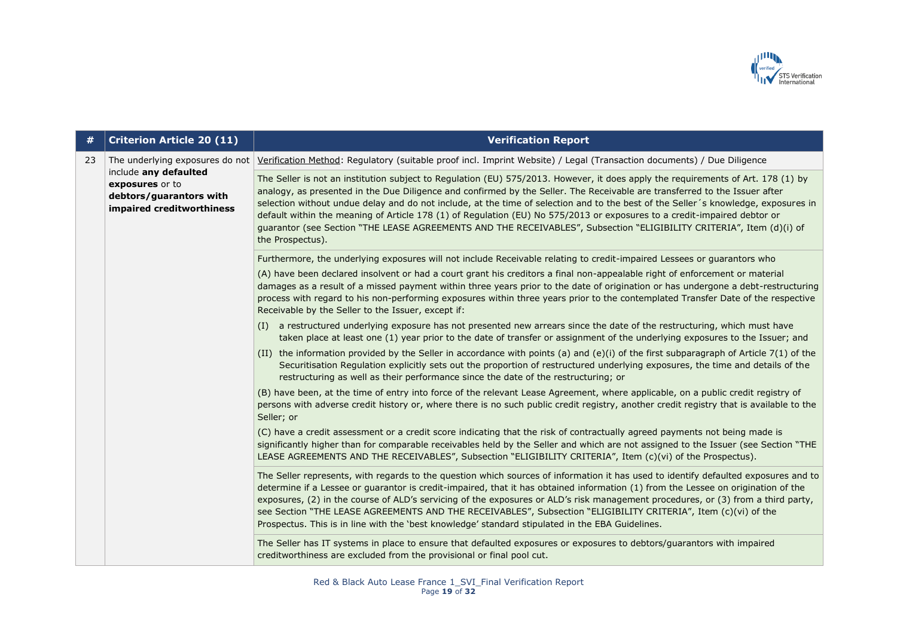

| #  | <b>Criterion Article 20 (11)</b>                                                                                                    | <b>Verification Report</b>                                                                                                                                                                                                                                                                                                                                                                                                                                                                                                                                                                                                                                                   |
|----|-------------------------------------------------------------------------------------------------------------------------------------|------------------------------------------------------------------------------------------------------------------------------------------------------------------------------------------------------------------------------------------------------------------------------------------------------------------------------------------------------------------------------------------------------------------------------------------------------------------------------------------------------------------------------------------------------------------------------------------------------------------------------------------------------------------------------|
| 23 | The underlying exposures do not<br>include any defaulted<br>exposures or to<br>debtors/guarantors with<br>impaired creditworthiness | Verification Method: Regulatory (suitable proof incl. Imprint Website) / Legal (Transaction documents) / Due Diligence                                                                                                                                                                                                                                                                                                                                                                                                                                                                                                                                                       |
|    |                                                                                                                                     | The Seller is not an institution subject to Regulation (EU) 575/2013. However, it does apply the requirements of Art. 178 (1) by<br>analogy, as presented in the Due Diligence and confirmed by the Seller. The Receivable are transferred to the Issuer after<br>selection without undue delay and do not include, at the time of selection and to the best of the Seller's knowledge, exposures in<br>default within the meaning of Article 178 (1) of Regulation (EU) No 575/2013 or exposures to a credit-impaired debtor or<br>guarantor (see Section "THE LEASE AGREEMENTS AND THE RECEIVABLES", Subsection "ELIGIBILITY CRITERIA", Item (d)(i) of<br>the Prospectus). |
|    |                                                                                                                                     | Furthermore, the underlying exposures will not include Receivable relating to credit-impaired Lessees or guarantors who                                                                                                                                                                                                                                                                                                                                                                                                                                                                                                                                                      |
|    |                                                                                                                                     | (A) have been declared insolvent or had a court grant his creditors a final non-appealable right of enforcement or material<br>damages as a result of a missed payment within three years prior to the date of origination or has undergone a debt-restructuring<br>process with regard to his non-performing exposures within three years prior to the contemplated Transfer Date of the respective<br>Receivable by the Seller to the Issuer, except if:                                                                                                                                                                                                                   |
|    |                                                                                                                                     | (I) a restructured underlying exposure has not presented new arrears since the date of the restructuring, which must have<br>taken place at least one (1) year prior to the date of transfer or assignment of the underlying exposures to the Issuer; and                                                                                                                                                                                                                                                                                                                                                                                                                    |
|    |                                                                                                                                     | (II) the information provided by the Seller in accordance with points (a) and (e)(i) of the first subparagraph of Article 7(1) of the<br>Securitisation Regulation explicitly sets out the proportion of restructured underlying exposures, the time and details of the<br>restructuring as well as their performance since the date of the restructuring; or                                                                                                                                                                                                                                                                                                                |
|    |                                                                                                                                     | (B) have been, at the time of entry into force of the relevant Lease Agreement, where applicable, on a public credit registry of<br>persons with adverse credit history or, where there is no such public credit registry, another credit registry that is available to the<br>Seller; or                                                                                                                                                                                                                                                                                                                                                                                    |
|    |                                                                                                                                     | (C) have a credit assessment or a credit score indicating that the risk of contractually agreed payments not being made is<br>significantly higher than for comparable receivables held by the Seller and which are not assigned to the Issuer (see Section "THE<br>LEASE AGREEMENTS AND THE RECEIVABLES", Subsection "ELIGIBILITY CRITERIA", Item (c)(vi) of the Prospectus).                                                                                                                                                                                                                                                                                               |
|    |                                                                                                                                     | The Seller represents, with regards to the question which sources of information it has used to identify defaulted exposures and to<br>determine if a Lessee or guarantor is credit-impaired, that it has obtained information (1) from the Lessee on origination of the<br>exposures, (2) in the course of ALD's servicing of the exposures or ALD's risk management procedures, or (3) from a third party,<br>see Section "THE LEASE AGREEMENTS AND THE RECEIVABLES", Subsection "ELIGIBILITY CRITERIA", Item (c)(vi) of the<br>Prospectus. This is in line with the 'best knowledge' standard stipulated in the EBA Guidelines.                                           |
|    |                                                                                                                                     | The Seller has IT systems in place to ensure that defaulted exposures or exposures to debtors/guarantors with impaired<br>creditworthiness are excluded from the provisional or final pool cut.                                                                                                                                                                                                                                                                                                                                                                                                                                                                              |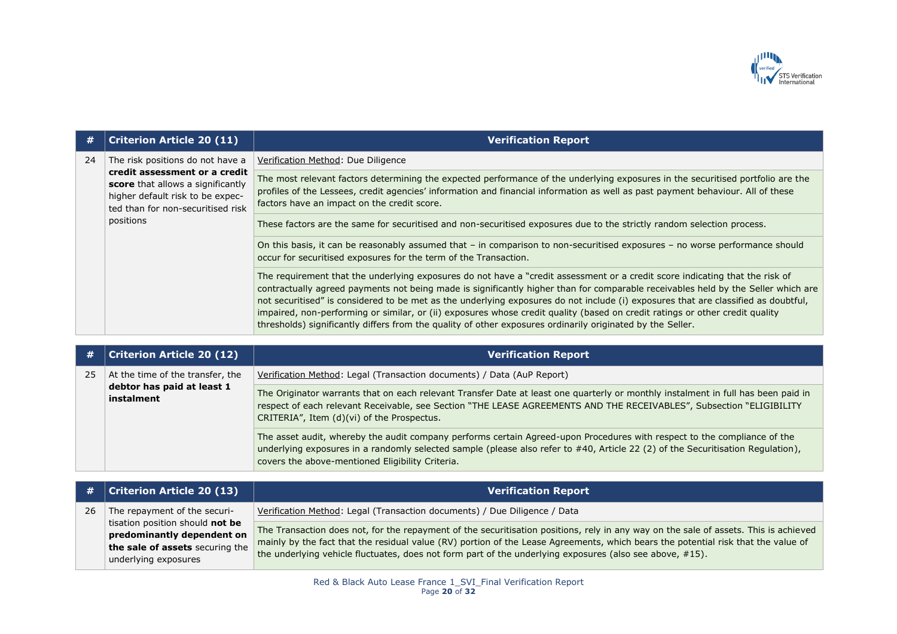

| #  | <b>Criterion Article 20 (11)</b>                                                                                                                                                             | <b>Verification Report</b>                                                                                                                                                                                                                                                                                                                                                                                                                                                                                                                                                                                                                            |
|----|----------------------------------------------------------------------------------------------------------------------------------------------------------------------------------------------|-------------------------------------------------------------------------------------------------------------------------------------------------------------------------------------------------------------------------------------------------------------------------------------------------------------------------------------------------------------------------------------------------------------------------------------------------------------------------------------------------------------------------------------------------------------------------------------------------------------------------------------------------------|
| 24 | The risk positions do not have a<br>credit assessment or a credit<br>score that allows a significantly<br>higher default risk to be expec-<br>ted than for non-securitised risk<br>positions | Verification Method: Due Diligence                                                                                                                                                                                                                                                                                                                                                                                                                                                                                                                                                                                                                    |
|    |                                                                                                                                                                                              | The most relevant factors determining the expected performance of the underlying exposures in the securitised portfolio are the<br>profiles of the Lessees, credit agencies' information and financial information as well as past payment behaviour. All of these<br>factors have an impact on the credit score.                                                                                                                                                                                                                                                                                                                                     |
|    |                                                                                                                                                                                              | These factors are the same for securitised and non-securitised exposures due to the strictly random selection process.                                                                                                                                                                                                                                                                                                                                                                                                                                                                                                                                |
|    |                                                                                                                                                                                              | On this basis, it can be reasonably assumed that - in comparison to non-securitised exposures - no worse performance should<br>occur for securitised exposures for the term of the Transaction.                                                                                                                                                                                                                                                                                                                                                                                                                                                       |
|    |                                                                                                                                                                                              | The requirement that the underlying exposures do not have a "credit assessment or a credit score indicating that the risk of<br>contractually agreed payments not being made is significantly higher than for comparable receivables held by the Seller which are<br>not securitised" is considered to be met as the underlying exposures do not include (i) exposures that are classified as doubtful,<br>impaired, non-performing or similar, or (ii) exposures whose credit quality (based on credit ratings or other credit quality<br>thresholds) significantly differs from the quality of other exposures ordinarily originated by the Seller. |

| #  | <b>Criterion Article 20 (12)</b>                                             | <b>Verification Report</b>                                                                                                                                                                                                                                                                                      |
|----|------------------------------------------------------------------------------|-----------------------------------------------------------------------------------------------------------------------------------------------------------------------------------------------------------------------------------------------------------------------------------------------------------------|
| 25 | At the time of the transfer, the<br>debtor has paid at least 1<br>instalment | Verification Method: Legal (Transaction documents) / Data (AuP Report)                                                                                                                                                                                                                                          |
|    |                                                                              | The Originator warrants that on each relevant Transfer Date at least one quarterly or monthly instalment in full has been paid in<br>respect of each relevant Receivable, see Section "THE LEASE AGREEMENTS AND THE RECEIVABLES", Subsection "ELIGIBILITY<br>CRITERIA", Item (d)(vi) of the Prospectus.         |
|    |                                                                              | The asset audit, whereby the audit company performs certain Agreed-upon Procedures with respect to the compliance of the<br>underlying exposures in a randomly selected sample (please also refer to #40, Article 22 (2) of the Securitisation Regulation),<br>covers the above-mentioned Eligibility Criteria. |

|    | $\#$   Criterion Article 20 (13)                                                                                         | <b>Verification Report</b>                                                                                                                                                                                                                                                                                                                                                            |
|----|--------------------------------------------------------------------------------------------------------------------------|---------------------------------------------------------------------------------------------------------------------------------------------------------------------------------------------------------------------------------------------------------------------------------------------------------------------------------------------------------------------------------------|
| 26 | The repayment of the securi-                                                                                             | Verification Method: Legal (Transaction documents) / Due Diligence / Data                                                                                                                                                                                                                                                                                                             |
|    | tisation position should not be<br>predominantly dependent on<br>the sale of assets securing the<br>underlying exposures | The Transaction does not, for the repayment of the securitisation positions, rely in any way on the sale of assets. This is achieved<br>mainly by the fact that the residual value (RV) portion of the Lease Agreements, which bears the potential risk that the value of<br>the underlying vehicle fluctuates, does not form part of the underlying exposures (also see above, #15). |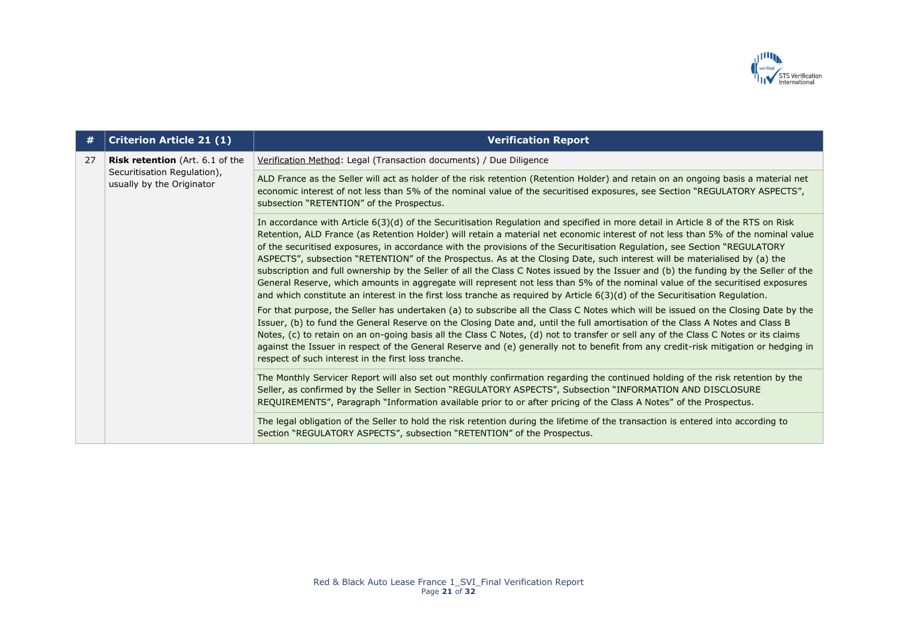

| #  | <b>Criterion Article 21 (1)</b>                                                                    | <b>Verification Report</b>                                                                                                                                                                                                                                                                                                                                                                                                                                                                                                                                                                                                                                                                                                                                                                                                                                                                                                                |
|----|----------------------------------------------------------------------------------------------------|-------------------------------------------------------------------------------------------------------------------------------------------------------------------------------------------------------------------------------------------------------------------------------------------------------------------------------------------------------------------------------------------------------------------------------------------------------------------------------------------------------------------------------------------------------------------------------------------------------------------------------------------------------------------------------------------------------------------------------------------------------------------------------------------------------------------------------------------------------------------------------------------------------------------------------------------|
| 27 | <b>Risk retention</b> (Art. 6.1 of the<br>Securitisation Regulation),<br>usually by the Originator | Verification Method: Legal (Transaction documents) / Due Diligence                                                                                                                                                                                                                                                                                                                                                                                                                                                                                                                                                                                                                                                                                                                                                                                                                                                                        |
|    |                                                                                                    | ALD France as the Seller will act as holder of the risk retention (Retention Holder) and retain on an ongoing basis a material net<br>economic interest of not less than 5% of the nominal value of the securitised exposures, see Section "REGULATORY ASPECTS",<br>subsection "RETENTION" of the Prospectus.                                                                                                                                                                                                                                                                                                                                                                                                                                                                                                                                                                                                                             |
|    |                                                                                                    | In accordance with Article 6(3)(d) of the Securitisation Regulation and specified in more detail in Article 8 of the RTS on Risk<br>Retention, ALD France (as Retention Holder) will retain a material net economic interest of not less than 5% of the nominal value<br>of the securitised exposures, in accordance with the provisions of the Securitisation Regulation, see Section "REGULATORY<br>ASPECTS", subsection "RETENTION" of the Prospectus. As at the Closing Date, such interest will be materialised by (a) the<br>subscription and full ownership by the Seller of all the Class C Notes issued by the Issuer and (b) the funding by the Seller of the<br>General Reserve, which amounts in aggregate will represent not less than 5% of the nominal value of the securitised exposures<br>and which constitute an interest in the first loss tranche as required by Article $6(3)(d)$ of the Securitisation Regulation. |
|    |                                                                                                    | For that purpose, the Seller has undertaken (a) to subscribe all the Class C Notes which will be issued on the Closing Date by the<br>Issuer, (b) to fund the General Reserve on the Closing Date and, until the full amortisation of the Class A Notes and Class B<br>Notes, (c) to retain on an on-going basis all the Class C Notes, (d) not to transfer or sell any of the Class C Notes or its claims<br>against the Issuer in respect of the General Reserve and (e) generally not to benefit from any credit-risk mitigation or hedging in<br>respect of such interest in the first loss tranche.                                                                                                                                                                                                                                                                                                                                  |
|    |                                                                                                    | The Monthly Servicer Report will also set out monthly confirmation regarding the continued holding of the risk retention by the<br>Seller, as confirmed by the Seller in Section "REGULATORY ASPECTS", Subsection "INFORMATION AND DISCLOSURE<br>REQUIREMENTS", Paragraph "Information available prior to or after pricing of the Class A Notes" of the Prospectus.                                                                                                                                                                                                                                                                                                                                                                                                                                                                                                                                                                       |
|    |                                                                                                    | The legal obligation of the Seller to hold the risk retention during the lifetime of the transaction is entered into according to<br>Section "REGULATORY ASPECTS", subsection "RETENTION" of the Prospectus.                                                                                                                                                                                                                                                                                                                                                                                                                                                                                                                                                                                                                                                                                                                              |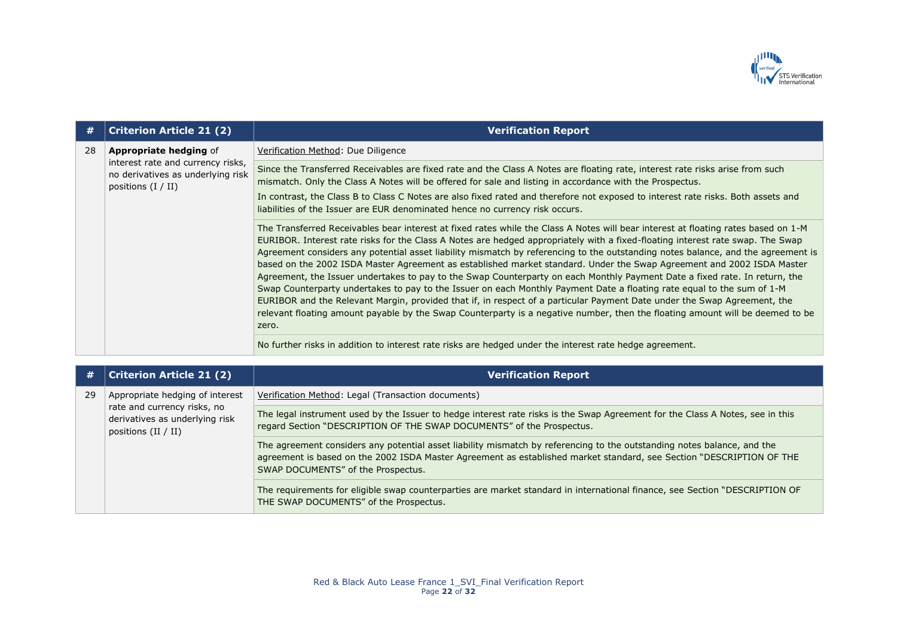

| #  | <b>Criterion Article 21 (2)</b>                                                                | <b>Verification Report</b>                                                                                                                                                                                                                                                                                                                                                                                                                                                                                                                                                                                                                                                                                                                                                                                                                                                                                                                                                                                                                                      |
|----|------------------------------------------------------------------------------------------------|-----------------------------------------------------------------------------------------------------------------------------------------------------------------------------------------------------------------------------------------------------------------------------------------------------------------------------------------------------------------------------------------------------------------------------------------------------------------------------------------------------------------------------------------------------------------------------------------------------------------------------------------------------------------------------------------------------------------------------------------------------------------------------------------------------------------------------------------------------------------------------------------------------------------------------------------------------------------------------------------------------------------------------------------------------------------|
| 28 | <b>Appropriate hedging of</b>                                                                  | Verification Method: Due Diligence                                                                                                                                                                                                                                                                                                                                                                                                                                                                                                                                                                                                                                                                                                                                                                                                                                                                                                                                                                                                                              |
|    | interest rate and currency risks,<br>no derivatives as underlying risk<br>positions $(I / II)$ | Since the Transferred Receivables are fixed rate and the Class A Notes are floating rate, interest rate risks arise from such<br>mismatch. Only the Class A Notes will be offered for sale and listing in accordance with the Prospectus.                                                                                                                                                                                                                                                                                                                                                                                                                                                                                                                                                                                                                                                                                                                                                                                                                       |
|    |                                                                                                | In contrast, the Class B to Class C Notes are also fixed rated and therefore not exposed to interest rate risks. Both assets and<br>liabilities of the Issuer are EUR denominated hence no currency risk occurs.                                                                                                                                                                                                                                                                                                                                                                                                                                                                                                                                                                                                                                                                                                                                                                                                                                                |
|    |                                                                                                | The Transferred Receivables bear interest at fixed rates while the Class A Notes will bear interest at floating rates based on 1-M<br>EURIBOR. Interest rate risks for the Class A Notes are hedged appropriately with a fixed-floating interest rate swap. The Swap<br>Agreement considers any potential asset liability mismatch by referencing to the outstanding notes balance, and the agreement is<br>based on the 2002 ISDA Master Agreement as established market standard. Under the Swap Agreement and 2002 ISDA Master<br>Agreement, the Issuer undertakes to pay to the Swap Counterparty on each Monthly Payment Date a fixed rate. In return, the<br>Swap Counterparty undertakes to pay to the Issuer on each Monthly Payment Date a floating rate equal to the sum of 1-M<br>EURIBOR and the Relevant Margin, provided that if, in respect of a particular Payment Date under the Swap Agreement, the<br>relevant floating amount payable by the Swap Counterparty is a negative number, then the floating amount will be deemed to be<br>zero. |
|    |                                                                                                | No further risks in addition to interest rate risks are hedged under the interest rate hedge agreement.                                                                                                                                                                                                                                                                                                                                                                                                                                                                                                                                                                                                                                                                                                                                                                                                                                                                                                                                                         |

| #  | <b>Criterion Article 21 (2)</b>                                                                                           | <b>Verification Report</b>                                                                                                                                                                                                                                                            |
|----|---------------------------------------------------------------------------------------------------------------------------|---------------------------------------------------------------------------------------------------------------------------------------------------------------------------------------------------------------------------------------------------------------------------------------|
| 29 | Appropriate hedging of interest<br>rate and currency risks, no<br>derivatives as underlying risk<br>positions $(II / II)$ | Verification Method: Legal (Transaction documents)                                                                                                                                                                                                                                    |
|    |                                                                                                                           | The legal instrument used by the Issuer to hedge interest rate risks is the Swap Agreement for the Class A Notes, see in this<br>regard Section "DESCRIPTION OF THE SWAP DOCUMENTS" of the Prospectus.                                                                                |
|    |                                                                                                                           | The agreement considers any potential asset liability mismatch by referencing to the outstanding notes balance, and the<br>agreement is based on the 2002 ISDA Master Agreement as established market standard, see Section "DESCRIPTION OF THE<br>SWAP DOCUMENTS" of the Prospectus. |
|    |                                                                                                                           | The requirements for eligible swap counterparties are market standard in international finance, see Section "DESCRIPTION OF<br>THE SWAP DOCUMENTS" of the Prospectus.                                                                                                                 |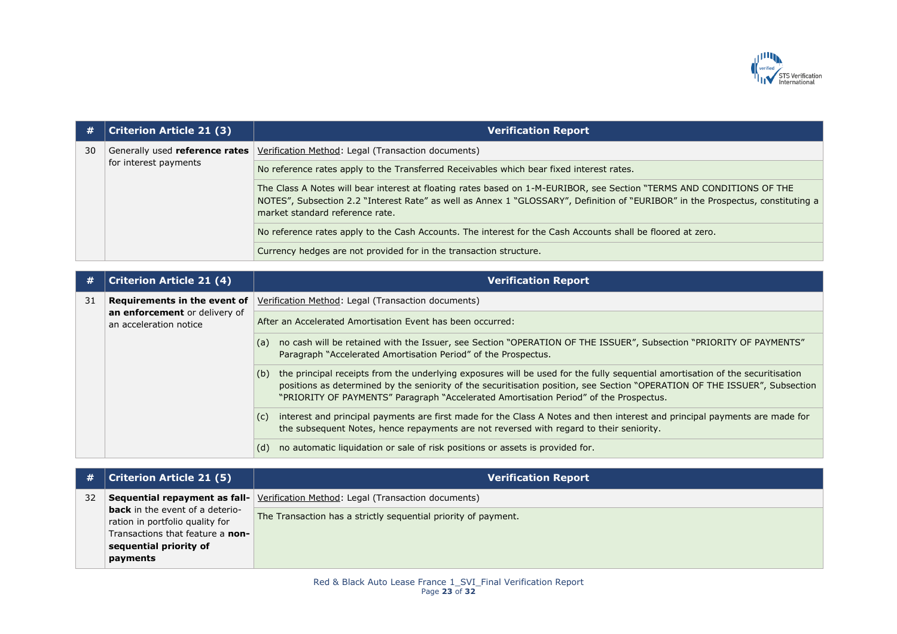

| #  | <b>Criterion Article 21 (3)</b> | <b>Verification Report</b>                                                                                                                                                                                                                                                                  |
|----|---------------------------------|---------------------------------------------------------------------------------------------------------------------------------------------------------------------------------------------------------------------------------------------------------------------------------------------|
| 30 | for interest payments           | Generally used <b>reference rates</b> Verification Method: Legal (Transaction documents)                                                                                                                                                                                                    |
|    |                                 | No reference rates apply to the Transferred Receivables which bear fixed interest rates.                                                                                                                                                                                                    |
|    |                                 | The Class A Notes will bear interest at floating rates based on 1-M-EURIBOR, see Section "TERMS AND CONDITIONS OF THE<br>NOTES", Subsection 2.2 "Interest Rate" as well as Annex 1 "GLOSSARY", Definition of "EURIBOR" in the Prospectus, constituting a<br>market standard reference rate. |
|    |                                 | No reference rates apply to the Cash Accounts. The interest for the Cash Accounts shall be floored at zero.                                                                                                                                                                                 |
|    |                                 | Currency hedges are not provided for in the transaction structure.                                                                                                                                                                                                                          |

| #  | Criterion Article 21 (4)                                | <b>Verification Report</b>                                                                                                                                                                                                                                                                                                                                  |
|----|---------------------------------------------------------|-------------------------------------------------------------------------------------------------------------------------------------------------------------------------------------------------------------------------------------------------------------------------------------------------------------------------------------------------------------|
| 31 | Requirements in the event of                            | Verification Method: Legal (Transaction documents)                                                                                                                                                                                                                                                                                                          |
|    | an enforcement or delivery of<br>an acceleration notice | After an Accelerated Amortisation Event has been occurred:                                                                                                                                                                                                                                                                                                  |
|    |                                                         | no cash will be retained with the Issuer, see Section "OPERATION OF THE ISSUER", Subsection "PRIORITY OF PAYMENTS"<br>(a)<br>Paragraph "Accelerated Amortisation Period" of the Prospectus.                                                                                                                                                                 |
|    |                                                         | the principal receipts from the underlying exposures will be used for the fully sequential amortisation of the securitisation<br>(b)<br>positions as determined by the seniority of the securitisation position, see Section "OPERATION OF THE ISSUER", Subsection<br>"PRIORITY OF PAYMENTS" Paragraph "Accelerated Amortisation Period" of the Prospectus. |
|    |                                                         | interest and principal payments are first made for the Class A Notes and then interest and principal payments are made for<br>(c)<br>the subsequent Notes, hence repayments are not reversed with regard to their seniority.                                                                                                                                |
|    |                                                         | no automatic liquidation or sale of risk positions or assets is provided for.<br>(d)                                                                                                                                                                                                                                                                        |

| #  | <b>Criterion Article 21 (5)</b>                                           | <b>Verification Report</b>                                                              |
|----|---------------------------------------------------------------------------|-----------------------------------------------------------------------------------------|
| 32 |                                                                           | <b>Sequential repayment as fall-</b> Verification Method: Legal (Transaction documents) |
|    | <b>back</b> in the event of a deterio-<br>ration in portfolio quality for | The Transaction has a strictly sequential priority of payment.                          |
|    | Transactions that feature a non-                                          |                                                                                         |
|    | sequential priority of                                                    |                                                                                         |
|    | payments                                                                  |                                                                                         |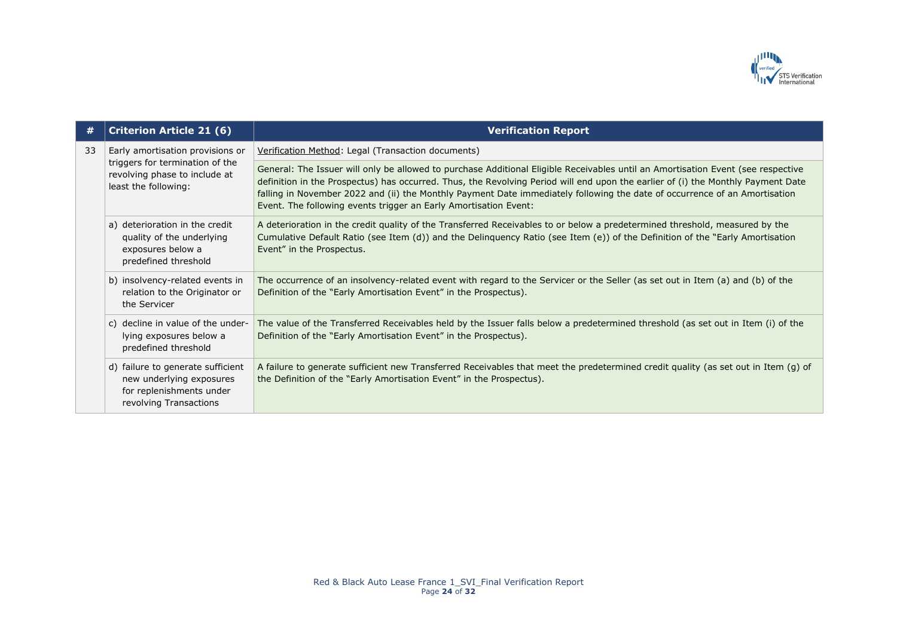

| #  | <b>Criterion Article 21 (6)</b>                                                                                              | <b>Verification Report</b>                                                                                                                                                                                                                                                                                                                                                                                                                                             |
|----|------------------------------------------------------------------------------------------------------------------------------|------------------------------------------------------------------------------------------------------------------------------------------------------------------------------------------------------------------------------------------------------------------------------------------------------------------------------------------------------------------------------------------------------------------------------------------------------------------------|
| 33 | Early amortisation provisions or<br>triggers for termination of the<br>revolving phase to include at<br>least the following: | Verification Method: Legal (Transaction documents)                                                                                                                                                                                                                                                                                                                                                                                                                     |
|    |                                                                                                                              | General: The Issuer will only be allowed to purchase Additional Eligible Receivables until an Amortisation Event (see respective<br>definition in the Prospectus) has occurred. Thus, the Revolving Period will end upon the earlier of (i) the Monthly Payment Date<br>falling in November 2022 and (ii) the Monthly Payment Date immediately following the date of occurrence of an Amortisation<br>Event. The following events trigger an Early Amortisation Event: |
|    | a) deterioration in the credit<br>quality of the underlying<br>exposures below a<br>predefined threshold                     | A deterioration in the credit quality of the Transferred Receivables to or below a predetermined threshold, measured by the<br>Cumulative Default Ratio (see Item (d)) and the Delinquency Ratio (see Item (e)) of the Definition of the "Early Amortisation<br>Event" in the Prospectus.                                                                                                                                                                              |
|    | b) insolvency-related events in<br>relation to the Originator or<br>the Servicer                                             | The occurrence of an insolvency-related event with regard to the Servicer or the Seller (as set out in Item (a) and (b) of the<br>Definition of the "Early Amortisation Event" in the Prospectus).                                                                                                                                                                                                                                                                     |
|    | c) decline in value of the under-<br>lying exposures below a<br>predefined threshold                                         | The value of the Transferred Receivables held by the Issuer falls below a predetermined threshold (as set out in Item (i) of the<br>Definition of the "Early Amortisation Event" in the Prospectus).                                                                                                                                                                                                                                                                   |
|    | d) failure to generate sufficient<br>new underlying exposures<br>for replenishments under<br>revolving Transactions          | A failure to generate sufficient new Transferred Receivables that meet the predetermined credit quality (as set out in Item (g) of<br>the Definition of the "Early Amortisation Event" in the Prospectus).                                                                                                                                                                                                                                                             |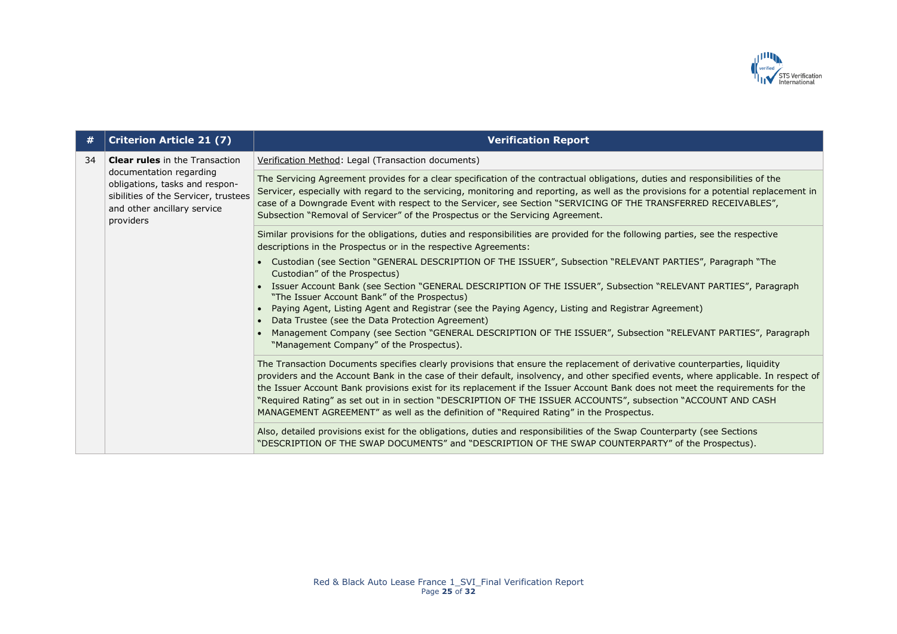

| #  | <b>Criterion Article 21 (7)</b>                                                                                                                                                        | <b>Verification Report</b>                                                                                                                                                                                                                                                                                                                                                                                                                                                                                                                                                                                       |
|----|----------------------------------------------------------------------------------------------------------------------------------------------------------------------------------------|------------------------------------------------------------------------------------------------------------------------------------------------------------------------------------------------------------------------------------------------------------------------------------------------------------------------------------------------------------------------------------------------------------------------------------------------------------------------------------------------------------------------------------------------------------------------------------------------------------------|
| 34 | <b>Clear rules</b> in the Transaction<br>documentation regarding<br>obligations, tasks and respon-<br>sibilities of the Servicer, trustees<br>and other ancillary service<br>providers | Verification Method: Legal (Transaction documents)                                                                                                                                                                                                                                                                                                                                                                                                                                                                                                                                                               |
|    |                                                                                                                                                                                        | The Servicing Agreement provides for a clear specification of the contractual obligations, duties and responsibilities of the<br>Servicer, especially with regard to the servicing, monitoring and reporting, as well as the provisions for a potential replacement in<br>case of a Downgrade Event with respect to the Servicer, see Section "SERVICING OF THE TRANSFERRED RECEIVABLES",<br>Subsection "Removal of Servicer" of the Prospectus or the Servicing Agreement.                                                                                                                                      |
|    |                                                                                                                                                                                        | Similar provisions for the obligations, duties and responsibilities are provided for the following parties, see the respective<br>descriptions in the Prospectus or in the respective Agreements:                                                                                                                                                                                                                                                                                                                                                                                                                |
|    |                                                                                                                                                                                        | • Custodian (see Section "GENERAL DESCRIPTION OF THE ISSUER", Subsection "RELEVANT PARTIES", Paragraph "The<br>Custodian" of the Prospectus)                                                                                                                                                                                                                                                                                                                                                                                                                                                                     |
|    |                                                                                                                                                                                        | • Issuer Account Bank (see Section "GENERAL DESCRIPTION OF THE ISSUER", Subsection "RELEVANT PARTIES", Paragraph<br>"The Issuer Account Bank" of the Prospectus)                                                                                                                                                                                                                                                                                                                                                                                                                                                 |
|    |                                                                                                                                                                                        | Paying Agent, Listing Agent and Registrar (see the Paying Agency, Listing and Registrar Agreement)<br>• Data Trustee (see the Data Protection Agreement)                                                                                                                                                                                                                                                                                                                                                                                                                                                         |
|    |                                                                                                                                                                                        | Management Company (see Section "GENERAL DESCRIPTION OF THE ISSUER", Subsection "RELEVANT PARTIES", Paragraph<br>"Management Company" of the Prospectus).                                                                                                                                                                                                                                                                                                                                                                                                                                                        |
|    |                                                                                                                                                                                        | The Transaction Documents specifies clearly provisions that ensure the replacement of derivative counterparties, liquidity<br>providers and the Account Bank in the case of their default, insolvency, and other specified events, where applicable. In respect of<br>the Issuer Account Bank provisions exist for its replacement if the Issuer Account Bank does not meet the requirements for the<br>"Required Rating" as set out in in section "DESCRIPTION OF THE ISSUER ACCOUNTS", subsection "ACCOUNT AND CASH<br>MANAGEMENT AGREEMENT" as well as the definition of "Required Rating" in the Prospectus. |
|    |                                                                                                                                                                                        | Also, detailed provisions exist for the obligations, duties and responsibilities of the Swap Counterparty (see Sections<br>"DESCRIPTION OF THE SWAP DOCUMENTS" and "DESCRIPTION OF THE SWAP COUNTERPARTY" of the Prospectus).                                                                                                                                                                                                                                                                                                                                                                                    |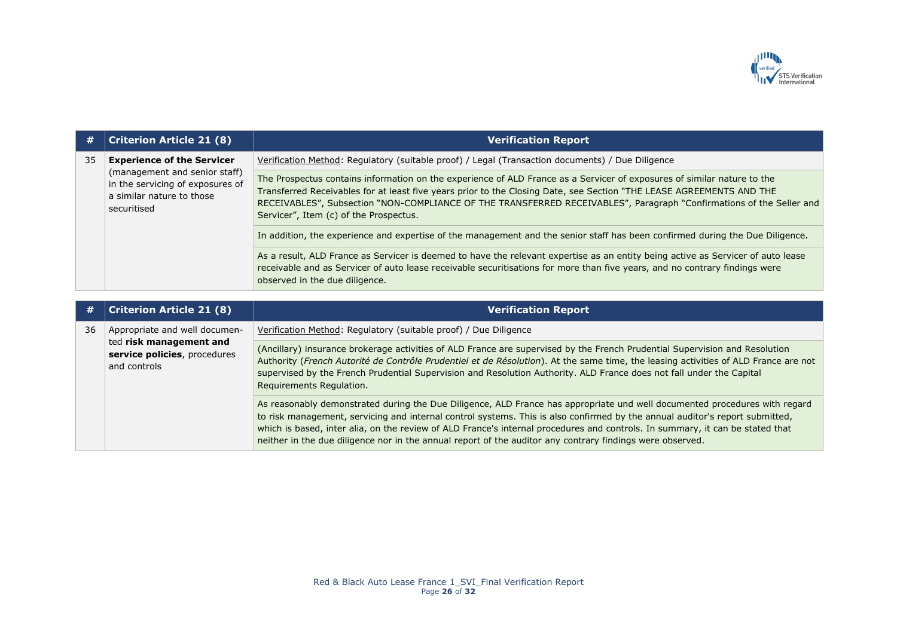

| #  | <b>Criterion Article 21 (8)</b>                                                                                                                    | <b>Verification Report</b>                                                                                                                                                                                                                                                                                                                                                                                        |
|----|----------------------------------------------------------------------------------------------------------------------------------------------------|-------------------------------------------------------------------------------------------------------------------------------------------------------------------------------------------------------------------------------------------------------------------------------------------------------------------------------------------------------------------------------------------------------------------|
| 35 | <b>Experience of the Servicer</b><br>(management and senior staff)<br>in the servicing of exposures of<br>a similar nature to those<br>securitised | Verification Method: Regulatory (suitable proof) / Legal (Transaction documents) / Due Diligence                                                                                                                                                                                                                                                                                                                  |
|    |                                                                                                                                                    | The Prospectus contains information on the experience of ALD France as a Servicer of exposures of similar nature to the<br>Transferred Receivables for at least five years prior to the Closing Date, see Section "THE LEASE AGREEMENTS AND THE<br>RECEIVABLES", Subsection "NON-COMPLIANCE OF THE TRANSFERRED RECEIVABLES", Paragraph "Confirmations of the Seller and<br>Servicer", Item (c) of the Prospectus. |
|    |                                                                                                                                                    | In addition, the experience and expertise of the management and the senior staff has been confirmed during the Due Diligence.                                                                                                                                                                                                                                                                                     |
|    |                                                                                                                                                    | As a result, ALD France as Servicer is deemed to have the relevant expertise as an entity being active as Servicer of auto lease<br>receivable and as Servicer of auto lease receivable securitisations for more than five years, and no contrary findings were<br>observed in the due diligence.                                                                                                                 |

| [#] | <b>Criterion Article 21 (8)</b>                                                                          | <b>Verification Report</b>                                                                                                                                                                                                                                                                                                                                                                                                                                                                               |
|-----|----------------------------------------------------------------------------------------------------------|----------------------------------------------------------------------------------------------------------------------------------------------------------------------------------------------------------------------------------------------------------------------------------------------------------------------------------------------------------------------------------------------------------------------------------------------------------------------------------------------------------|
| 36  | Appropriate and well documen-<br>ted risk management and<br>service policies, procedures<br>and controls | Verification Method: Regulatory (suitable proof) / Due Diligence                                                                                                                                                                                                                                                                                                                                                                                                                                         |
|     |                                                                                                          | (Ancillary) insurance brokerage activities of ALD France are supervised by the French Prudential Supervision and Resolution<br>Authority (French Autorité de Contrôle Prudentiel et de Résolution). At the same time, the leasing activities of ALD France are not<br>supervised by the French Prudential Supervision and Resolution Authority. ALD France does not fall under the Capital<br>Requirements Regulation.                                                                                   |
|     |                                                                                                          | As reasonably demonstrated during the Due Diligence, ALD France has appropriate und well documented procedures with regard<br>to risk management, servicing and internal control systems. This is also confirmed by the annual auditor's report submitted,<br>which is based, inter alia, on the review of ALD France's internal procedures and controls. In summary, it can be stated that<br>neither in the due diligence nor in the annual report of the auditor any contrary findings were observed. |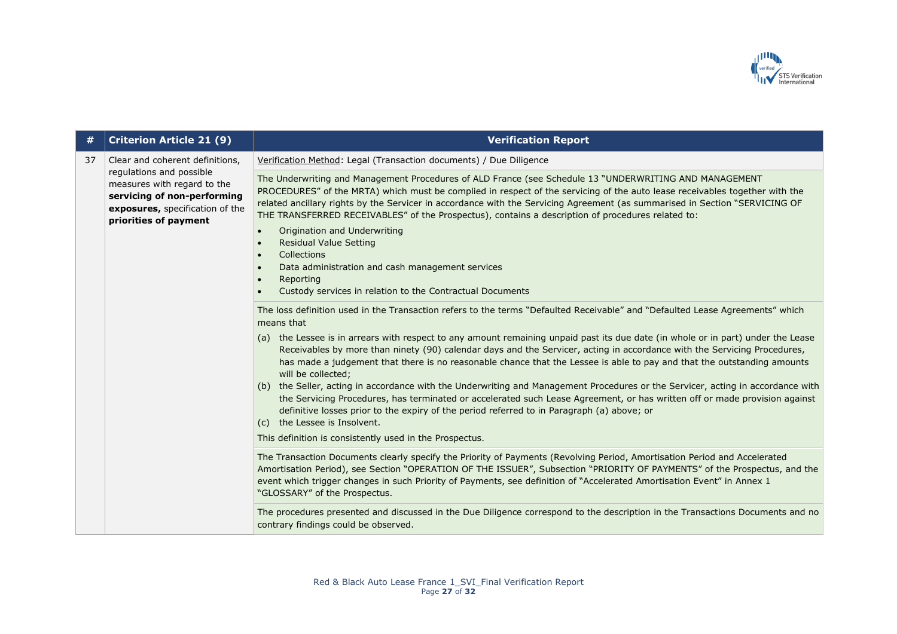

| #  | <b>Criterion Article 21 (9)</b>                                                                                                                                                       | <b>Verification Report</b>                                                                                                                                                                                                                                                                                                                                                                                                                                                |
|----|---------------------------------------------------------------------------------------------------------------------------------------------------------------------------------------|---------------------------------------------------------------------------------------------------------------------------------------------------------------------------------------------------------------------------------------------------------------------------------------------------------------------------------------------------------------------------------------------------------------------------------------------------------------------------|
| 37 | Clear and coherent definitions,<br>regulations and possible<br>measures with regard to the<br>servicing of non-performing<br>exposures, specification of the<br>priorities of payment | Verification Method: Legal (Transaction documents) / Due Diligence                                                                                                                                                                                                                                                                                                                                                                                                        |
|    |                                                                                                                                                                                       | The Underwriting and Management Procedures of ALD France (see Schedule 13 "UNDERWRITING AND MANAGEMENT<br>PROCEDURES" of the MRTA) which must be complied in respect of the servicing of the auto lease receivables together with the<br>related ancillary rights by the Servicer in accordance with the Servicing Agreement (as summarised in Section "SERVICING OF<br>THE TRANSFERRED RECEIVABLES" of the Prospectus), contains a description of procedures related to: |
|    |                                                                                                                                                                                       | Origination and Underwriting<br>$\bullet$<br><b>Residual Value Setting</b><br>$\bullet$<br>Collections<br>$\bullet$<br>Data administration and cash management services<br>$\bullet$                                                                                                                                                                                                                                                                                      |
|    |                                                                                                                                                                                       | Reporting<br>$\bullet$<br>Custody services in relation to the Contractual Documents                                                                                                                                                                                                                                                                                                                                                                                       |
|    |                                                                                                                                                                                       | The loss definition used in the Transaction refers to the terms "Defaulted Receivable" and "Defaulted Lease Agreements" which<br>means that                                                                                                                                                                                                                                                                                                                               |
|    |                                                                                                                                                                                       | (a) the Lessee is in arrears with respect to any amount remaining unpaid past its due date (in whole or in part) under the Lease<br>Receivables by more than ninety (90) calendar days and the Servicer, acting in accordance with the Servicing Procedures,<br>has made a judgement that there is no reasonable chance that the Lessee is able to pay and that the outstanding amounts<br>will be collected;                                                             |
|    |                                                                                                                                                                                       | (b) the Seller, acting in accordance with the Underwriting and Management Procedures or the Servicer, acting in accordance with<br>the Servicing Procedures, has terminated or accelerated such Lease Agreement, or has written off or made provision against<br>definitive losses prior to the expiry of the period referred to in Paragraph (a) above; or<br>(c) the Lessee is Insolvent.                                                                               |
|    |                                                                                                                                                                                       | This definition is consistently used in the Prospectus.                                                                                                                                                                                                                                                                                                                                                                                                                   |
|    |                                                                                                                                                                                       | The Transaction Documents clearly specify the Priority of Payments (Revolving Period, Amortisation Period and Accelerated<br>Amortisation Period), see Section "OPERATION OF THE ISSUER", Subsection "PRIORITY OF PAYMENTS" of the Prospectus, and the<br>event which trigger changes in such Priority of Payments, see definition of "Accelerated Amortisation Event" in Annex 1<br>"GLOSSARY" of the Prospectus.                                                        |
|    |                                                                                                                                                                                       | The procedures presented and discussed in the Due Diligence correspond to the description in the Transactions Documents and no<br>contrary findings could be observed.                                                                                                                                                                                                                                                                                                    |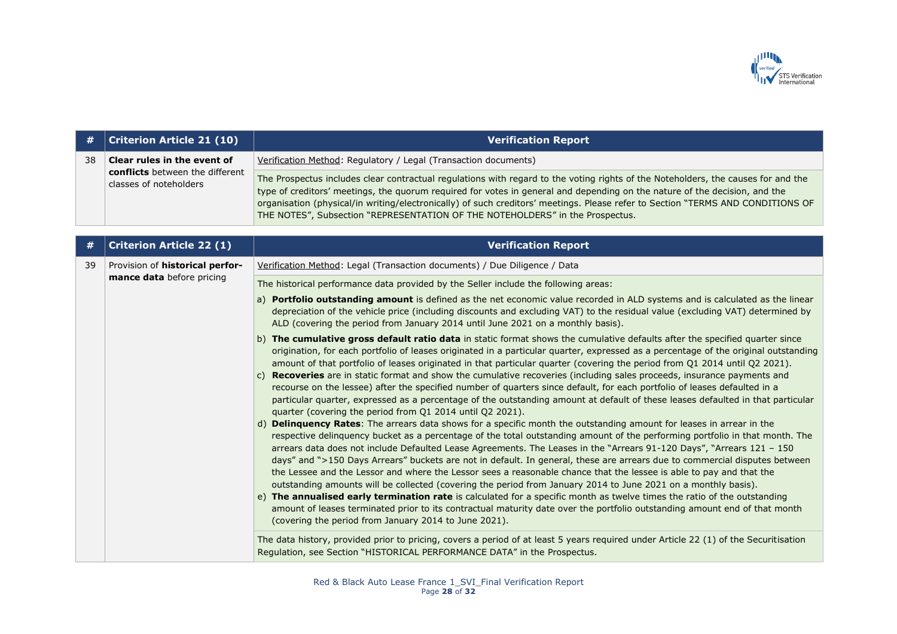

|    | $\#$   Criterion Article 21 (10)                          | <b>Verification Report</b>                                                                                                                                                                                                                                                                                                                                                                                                                                                          |
|----|-----------------------------------------------------------|-------------------------------------------------------------------------------------------------------------------------------------------------------------------------------------------------------------------------------------------------------------------------------------------------------------------------------------------------------------------------------------------------------------------------------------------------------------------------------------|
| 38 | Clear rules in the event of                               | Verification Method: Regulatory / Legal (Transaction documents)                                                                                                                                                                                                                                                                                                                                                                                                                     |
|    | conflicts between the different<br>classes of noteholders | The Prospectus includes clear contractual regulations with regard to the voting rights of the Noteholders, the causes for and the<br>type of creditors' meetings, the quorum required for votes in general and depending on the nature of the decision, and the<br>organisation (physical/in writing/electronically) of such creditors' meetings. Please refer to Section "TERMS AND CONDITIONS OF<br>THE NOTES", Subsection "REPRESENTATION OF THE NOTEHOLDERS" in the Prospectus. |

| #  | <b>Criterion Article 22 (1)</b>                                     | <b>Verification Report</b>                                                                                                                                                                                                                                                                                                                                                                                                                                                                                                                                                                                                                                                                                                                                                                                                                                                                                                                                                                                                                                              |
|----|---------------------------------------------------------------------|-------------------------------------------------------------------------------------------------------------------------------------------------------------------------------------------------------------------------------------------------------------------------------------------------------------------------------------------------------------------------------------------------------------------------------------------------------------------------------------------------------------------------------------------------------------------------------------------------------------------------------------------------------------------------------------------------------------------------------------------------------------------------------------------------------------------------------------------------------------------------------------------------------------------------------------------------------------------------------------------------------------------------------------------------------------------------|
| 39 | Provision of <b>historical perfor-</b><br>mance data before pricing | Verification Method: Legal (Transaction documents) / Due Diligence / Data                                                                                                                                                                                                                                                                                                                                                                                                                                                                                                                                                                                                                                                                                                                                                                                                                                                                                                                                                                                               |
|    |                                                                     | The historical performance data provided by the Seller include the following areas:                                                                                                                                                                                                                                                                                                                                                                                                                                                                                                                                                                                                                                                                                                                                                                                                                                                                                                                                                                                     |
|    |                                                                     | a) Portfolio outstanding amount is defined as the net economic value recorded in ALD systems and is calculated as the linear<br>depreciation of the vehicle price (including discounts and excluding VAT) to the residual value (excluding VAT) determined by<br>ALD (covering the period from January 2014 until June 2021 on a monthly basis).                                                                                                                                                                                                                                                                                                                                                                                                                                                                                                                                                                                                                                                                                                                        |
|    |                                                                     | b) The cumulative gross default ratio data in static format shows the cumulative defaults after the specified quarter since<br>origination, for each portfolio of leases originated in a particular quarter, expressed as a percentage of the original outstanding<br>amount of that portfolio of leases originated in that particular quarter (covering the period from Q1 2014 until Q2 2021).<br>Recoveries are in static format and show the cumulative recoveries (including sales proceeds, insurance payments and<br>$\mathsf{C}$                                                                                                                                                                                                                                                                                                                                                                                                                                                                                                                                |
|    |                                                                     | recourse on the lessee) after the specified number of quarters since default, for each portfolio of leases defaulted in a<br>particular quarter, expressed as a percentage of the outstanding amount at default of these leases defaulted in that particular<br>quarter (covering the period from Q1 2014 until Q2 2021).                                                                                                                                                                                                                                                                                                                                                                                                                                                                                                                                                                                                                                                                                                                                               |
|    |                                                                     | d) Delinquency Rates: The arrears data shows for a specific month the outstanding amount for leases in arrear in the<br>respective delinquency bucket as a percentage of the total outstanding amount of the performing portfolio in that month. The<br>arrears data does not include Defaulted Lease Agreements. The Leases in the "Arrears 91-120 Days", "Arrears 121 - 150<br>days" and ">150 Days Arrears" buckets are not in default. In general, these are arrears due to commercial disputes between<br>the Lessee and the Lessor and where the Lessor sees a reasonable chance that the lessee is able to pay and that the<br>outstanding amounts will be collected (covering the period from January 2014 to June 2021 on a monthly basis).<br>e) The annualised early termination rate is calculated for a specific month as twelve times the ratio of the outstanding<br>amount of leases terminated prior to its contractual maturity date over the portfolio outstanding amount end of that month<br>(covering the period from January 2014 to June 2021). |
|    |                                                                     | The data history, provided prior to pricing, covers a period of at least 5 years required under Article 22 (1) of the Securitisation<br>Regulation, see Section "HISTORICAL PERFORMANCE DATA" in the Prospectus.                                                                                                                                                                                                                                                                                                                                                                                                                                                                                                                                                                                                                                                                                                                                                                                                                                                        |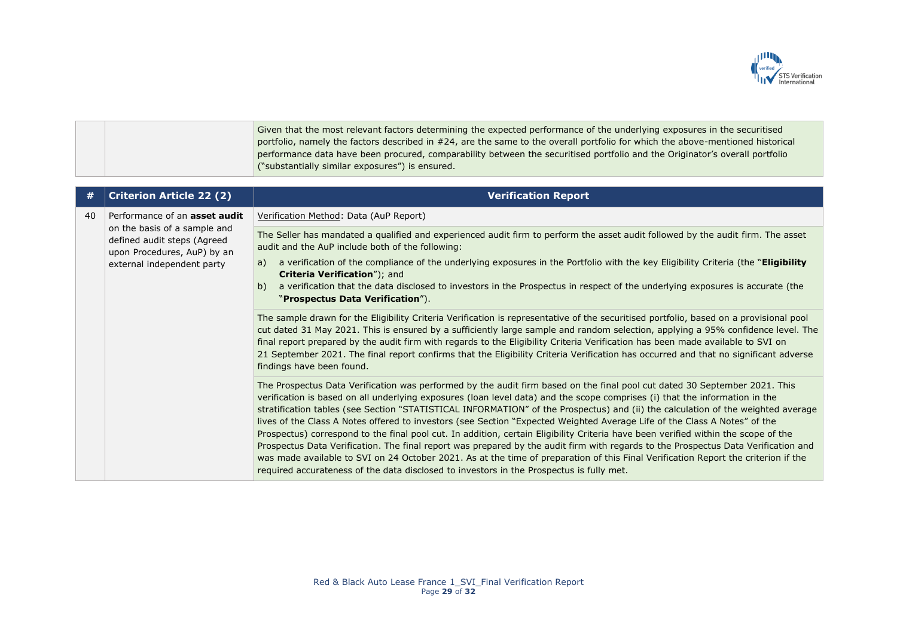

Given that the most relevant factors determining the expected performance of the underlying exposures in the securitised portfolio, namely the factors described in #24, are the same to the overall portfolio for which the above-mentioned historical performance data have been procured, comparability between the securitised portfolio and the Originator's overall portfolio ("substantially similar exposures") is ensured.

| #  | <b>Criterion Article 22 (2)</b>                                                                                                                           | <b>Verification Report</b>                                                                                                                                                                                                                                                                                                                                                                                                                                                                                                                                                                                                                                                                                                                                                                                                                                                                                                                                                                                                               |
|----|-----------------------------------------------------------------------------------------------------------------------------------------------------------|------------------------------------------------------------------------------------------------------------------------------------------------------------------------------------------------------------------------------------------------------------------------------------------------------------------------------------------------------------------------------------------------------------------------------------------------------------------------------------------------------------------------------------------------------------------------------------------------------------------------------------------------------------------------------------------------------------------------------------------------------------------------------------------------------------------------------------------------------------------------------------------------------------------------------------------------------------------------------------------------------------------------------------------|
| 40 | Performance of an asset audit<br>on the basis of a sample and<br>defined audit steps (Agreed<br>upon Procedures, AuP) by an<br>external independent party | Verification Method: Data (AuP Report)                                                                                                                                                                                                                                                                                                                                                                                                                                                                                                                                                                                                                                                                                                                                                                                                                                                                                                                                                                                                   |
|    |                                                                                                                                                           | The Seller has mandated a qualified and experienced audit firm to perform the asset audit followed by the audit firm. The asset<br>audit and the AuP include both of the following:                                                                                                                                                                                                                                                                                                                                                                                                                                                                                                                                                                                                                                                                                                                                                                                                                                                      |
|    |                                                                                                                                                           | a verification of the compliance of the underlying exposures in the Portfolio with the key Eligibility Criteria (the "Eligibility<br>a)<br>Criteria Verification"); and                                                                                                                                                                                                                                                                                                                                                                                                                                                                                                                                                                                                                                                                                                                                                                                                                                                                  |
|    |                                                                                                                                                           | b)<br>a verification that the data disclosed to investors in the Prospectus in respect of the underlying exposures is accurate (the<br>"Prospectus Data Verification").                                                                                                                                                                                                                                                                                                                                                                                                                                                                                                                                                                                                                                                                                                                                                                                                                                                                  |
|    |                                                                                                                                                           | The sample drawn for the Eligibility Criteria Verification is representative of the securitised portfolio, based on a provisional pool<br>cut dated 31 May 2021. This is ensured by a sufficiently large sample and random selection, applying a 95% confidence level. The<br>final report prepared by the audit firm with regards to the Eligibility Criteria Verification has been made available to SVI on<br>21 September 2021. The final report confirms that the Eligibility Criteria Verification has occurred and that no significant adverse<br>findings have been found.                                                                                                                                                                                                                                                                                                                                                                                                                                                       |
|    |                                                                                                                                                           | The Prospectus Data Verification was performed by the audit firm based on the final pool cut dated 30 September 2021. This<br>verification is based on all underlying exposures (loan level data) and the scope comprises (i) that the information in the<br>stratification tables (see Section "STATISTICAL INFORMATION" of the Prospectus) and (ii) the calculation of the weighted average<br>lives of the Class A Notes offered to investors (see Section "Expected Weighted Average Life of the Class A Notes" of the<br>Prospectus) correspond to the final pool cut. In addition, certain Eligibility Criteria have been verified within the scope of the<br>Prospectus Data Verification. The final report was prepared by the audit firm with regards to the Prospectus Data Verification and<br>was made available to SVI on 24 October 2021. As at the time of preparation of this Final Verification Report the criterion if the<br>required accurateness of the data disclosed to investors in the Prospectus is fully met. |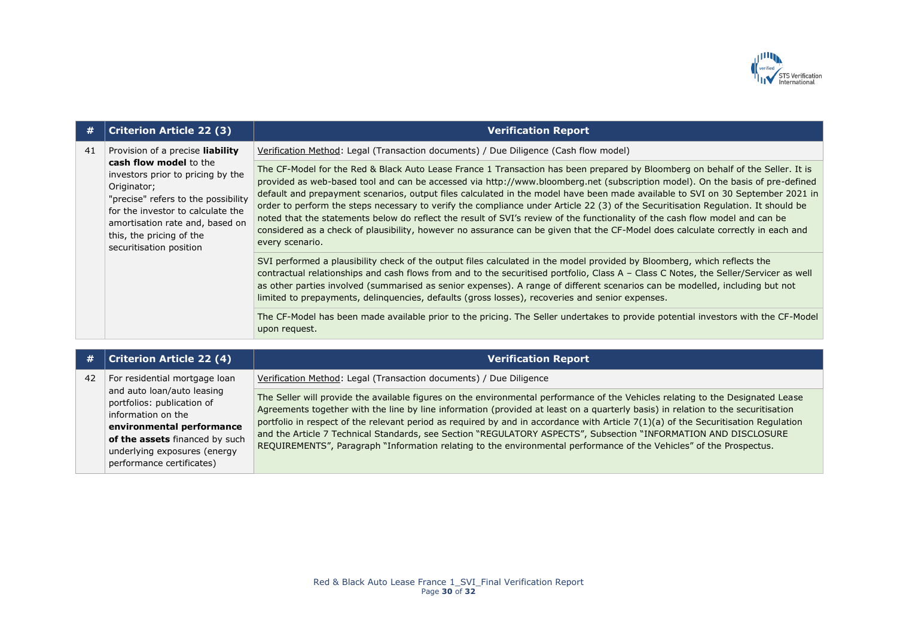

| #  | <b>Criterion Article 22 (3)</b>                                                                                                                                                                                                                                                      | <b>Verification Report</b>                                                                                                                                                                                                                                                                                                                                                                                                                                                                                                                                                                                                                                                                                                                                                                                                   |
|----|--------------------------------------------------------------------------------------------------------------------------------------------------------------------------------------------------------------------------------------------------------------------------------------|------------------------------------------------------------------------------------------------------------------------------------------------------------------------------------------------------------------------------------------------------------------------------------------------------------------------------------------------------------------------------------------------------------------------------------------------------------------------------------------------------------------------------------------------------------------------------------------------------------------------------------------------------------------------------------------------------------------------------------------------------------------------------------------------------------------------------|
| 41 | Provision of a precise liability<br>cash flow model to the<br>investors prior to pricing by the<br>Originator;<br>"precise" refers to the possibility<br>for the investor to calculate the<br>amortisation rate and, based on<br>this, the pricing of the<br>securitisation position | Verification Method: Legal (Transaction documents) / Due Diligence (Cash flow model)                                                                                                                                                                                                                                                                                                                                                                                                                                                                                                                                                                                                                                                                                                                                         |
|    |                                                                                                                                                                                                                                                                                      | The CF-Model for the Red & Black Auto Lease France 1 Transaction has been prepared by Bloomberg on behalf of the Seller. It is<br>provided as web-based tool and can be accessed via http://www.bloomberg.net (subscription model). On the basis of pre-defined<br>default and prepayment scenarios, output files calculated in the model have been made available to SVI on 30 September 2021 in<br>order to perform the steps necessary to verify the compliance under Article 22 (3) of the Securitisation Regulation. It should be<br>noted that the statements below do reflect the result of SVI's review of the functionality of the cash flow model and can be<br>considered as a check of plausibility, however no assurance can be given that the CF-Model does calculate correctly in each and<br>every scenario. |
|    |                                                                                                                                                                                                                                                                                      | SVI performed a plausibility check of the output files calculated in the model provided by Bloomberg, which reflects the<br>contractual relationships and cash flows from and to the securitised portfolio, Class A - Class C Notes, the Seller/Servicer as well<br>as other parties involved (summarised as senior expenses). A range of different scenarios can be modelled, including but not<br>limited to prepayments, delinquencies, defaults (gross losses), recoveries and senior expenses.                                                                                                                                                                                                                                                                                                                          |
|    |                                                                                                                                                                                                                                                                                      | The CF-Model has been made available prior to the pricing. The Seller undertakes to provide potential investors with the CF-Model<br>upon request.                                                                                                                                                                                                                                                                                                                                                                                                                                                                                                                                                                                                                                                                           |

| #  | <b>Criterion Article 22 (4)</b>                                                                                                                                                                                                             | <b>Verification Report</b>                                                                                                                                                                                                                                                                                                                                                                                                                                                                                                                                                                                                                          |
|----|---------------------------------------------------------------------------------------------------------------------------------------------------------------------------------------------------------------------------------------------|-----------------------------------------------------------------------------------------------------------------------------------------------------------------------------------------------------------------------------------------------------------------------------------------------------------------------------------------------------------------------------------------------------------------------------------------------------------------------------------------------------------------------------------------------------------------------------------------------------------------------------------------------------|
| 42 | For residential mortgage loan<br>and auto loan/auto leasing<br>portfolios: publication of<br>information on the<br>environmental performance<br>of the assets financed by such<br>underlying exposures (energy<br>performance certificates) | Verification Method: Legal (Transaction documents) / Due Diligence                                                                                                                                                                                                                                                                                                                                                                                                                                                                                                                                                                                  |
|    |                                                                                                                                                                                                                                             | The Seller will provide the available figures on the environmental performance of the Vehicles relating to the Designated Lease<br>Agreements together with the line by line information (provided at least on a quarterly basis) in relation to the securitisation<br>portfolio in respect of the relevant period as required by and in accordance with Article 7(1)(a) of the Securitisation Regulation<br>and the Article 7 Technical Standards, see Section "REGULATORY ASPECTS", Subsection "INFORMATION AND DISCLOSURE<br>REQUIREMENTS", Paragraph "Information relating to the environmental performance of the Vehicles" of the Prospectus. |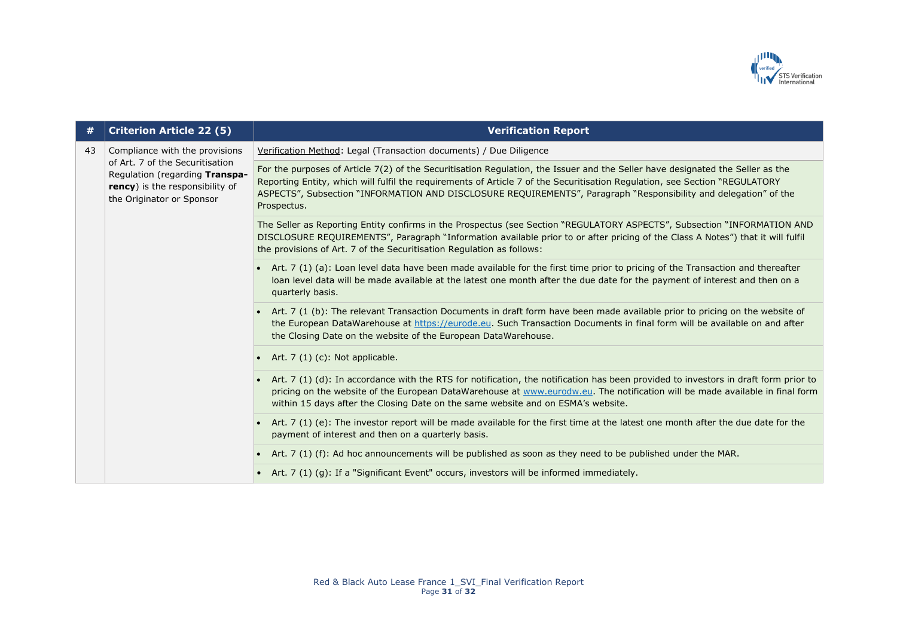

| #  | <b>Criterion Article 22 (5)</b>                                                                                                                                     | <b>Verification Report</b>                                                                                                                                                                                                                                                                                                                                                                       |
|----|---------------------------------------------------------------------------------------------------------------------------------------------------------------------|--------------------------------------------------------------------------------------------------------------------------------------------------------------------------------------------------------------------------------------------------------------------------------------------------------------------------------------------------------------------------------------------------|
| 43 | Compliance with the provisions<br>of Art. 7 of the Securitisation<br>Regulation (regarding Transpa-<br>rency) is the responsibility of<br>the Originator or Sponsor | Verification Method: Legal (Transaction documents) / Due Diligence                                                                                                                                                                                                                                                                                                                               |
|    |                                                                                                                                                                     | For the purposes of Article 7(2) of the Securitisation Regulation, the Issuer and the Seller have designated the Seller as the<br>Reporting Entity, which will fulfil the requirements of Article 7 of the Securitisation Regulation, see Section "REGULATORY<br>ASPECTS", Subsection "INFORMATION AND DISCLOSURE REQUIREMENTS", Paragraph "Responsibility and delegation" of the<br>Prospectus. |
|    |                                                                                                                                                                     | The Seller as Reporting Entity confirms in the Prospectus (see Section "REGULATORY ASPECTS", Subsection "INFORMATION AND<br>DISCLOSURE REQUIREMENTS", Paragraph "Information available prior to or after pricing of the Class A Notes") that it will fulfil<br>the provisions of Art. 7 of the Securitisation Regulation as follows:                                                             |
|    |                                                                                                                                                                     | • Art. 7 (1) (a): Loan level data have been made available for the first time prior to pricing of the Transaction and thereafter<br>loan level data will be made available at the latest one month after the due date for the payment of interest and then on a<br>quarterly basis.                                                                                                              |
|    |                                                                                                                                                                     | Art. 7 (1 (b): The relevant Transaction Documents in draft form have been made available prior to pricing on the website of<br>the European DataWarehouse at https://eurode.eu. Such Transaction Documents in final form will be available on and after<br>the Closing Date on the website of the European DataWarehouse.                                                                        |
|    |                                                                                                                                                                     | Art. 7 (1) (c): Not applicable.                                                                                                                                                                                                                                                                                                                                                                  |
|    |                                                                                                                                                                     | Art. 7 (1) (d): In accordance with the RTS for notification, the notification has been provided to investors in draft form prior to<br>pricing on the website of the European DataWarehouse at www.eurodw.eu. The notification will be made available in final form<br>within 15 days after the Closing Date on the same website and on ESMA's website.                                          |
|    |                                                                                                                                                                     | Art. 7 (1) (e): The investor report will be made available for the first time at the latest one month after the due date for the<br>payment of interest and then on a quarterly basis.                                                                                                                                                                                                           |
|    |                                                                                                                                                                     | Art. 7 (1) (f): Ad hoc announcements will be published as soon as they need to be published under the MAR.                                                                                                                                                                                                                                                                                       |
|    |                                                                                                                                                                     | • Art. 7 (1) (g): If a "Significant Event" occurs, investors will be informed immediately.                                                                                                                                                                                                                                                                                                       |